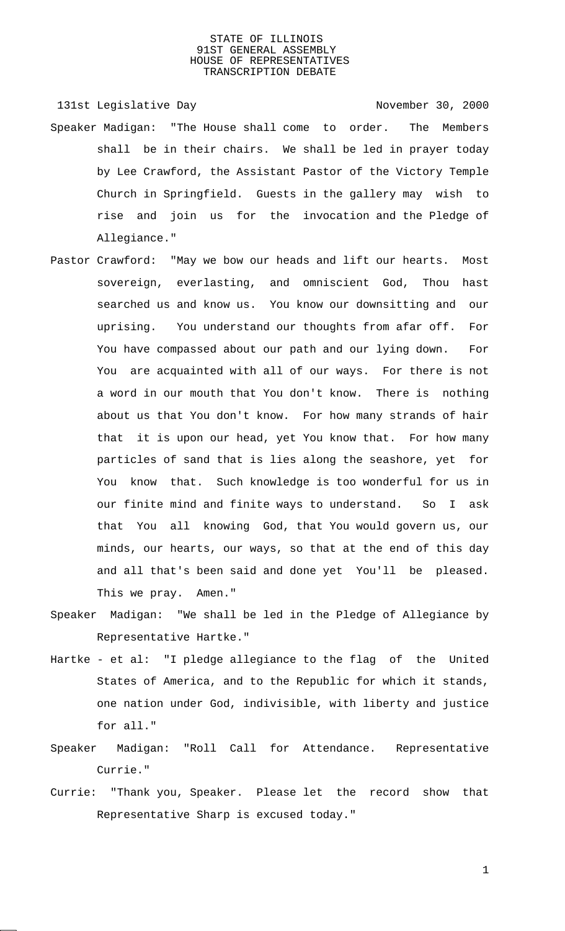131st Legislative Day 131st Company 131st Legislative Day

- Speaker Madigan: "The House shall come to order. The Members shall be in their chairs. We shall be led in prayer today by Lee Crawford, the Assistant Pastor of the Victory Temple Church in Springfield. Guests in the gallery may wish to rise and join us for the invocation and the Pledge of Allegiance."
- Pastor Crawford: "May we bow our heads and lift our hearts. Most sovereign, everlasting, and omniscient God, Thou hast searched us and know us. You know our downsitting and our uprising. You understand our thoughts from afar off. For You have compassed about our path and our lying down. For You are acquainted with all of our ways. For there is not a word in our mouth that You don't know. There is nothing about us that You don't know. For how many strands of hair that it is upon our head, yet You know that. For how many particles of sand that is lies along the seashore, yet for You know that. Such knowledge is too wonderful for us in our finite mind and finite ways to understand. So I ask that You all knowing God, that You would govern us, our minds, our hearts, our ways, so that at the end of this day and all that's been said and done yet You'll be pleased. This we pray. Amen."
- Speaker Madigan: "We shall be led in the Pledge of Allegiance by Representative Hartke."
- Hartke et al: "I pledge allegiance to the flag of the United States of America, and to the Republic for which it stands, one nation under God, indivisible, with liberty and justice for all."
- Speaker Madigan: "Roll Call for Attendance. Representative Currie."
- Currie: "Thank you, Speaker. Please let the record show that Representative Sharp is excused today."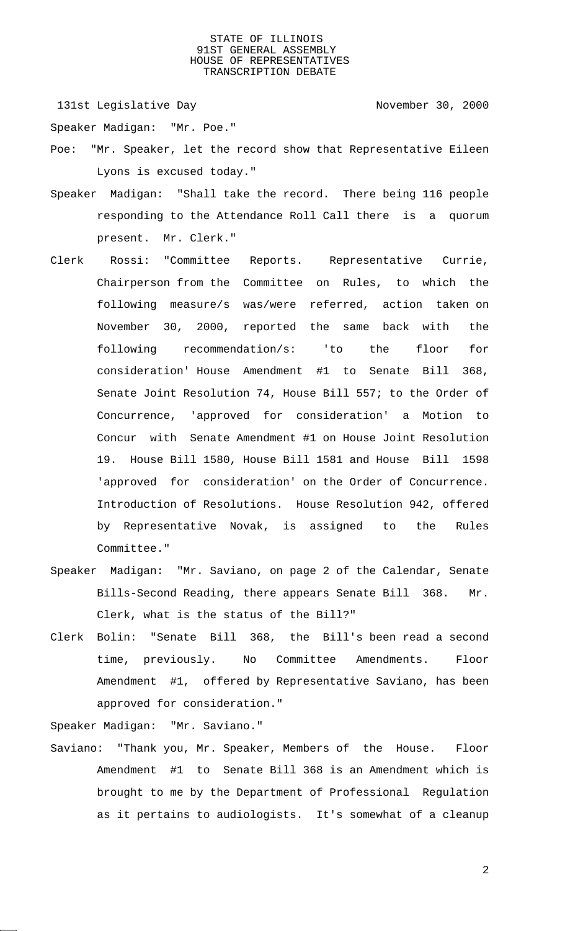131st Legislative Day 131st Company 131st Legislative Day

Speaker Madigan: "Mr. Poe."

- Poe: "Mr. Speaker, let the record show that Representative Eileen Lyons is excused today."
- Speaker Madigan: "Shall take the record. There being 116 people responding to the Attendance Roll Call there is a quorum present. Mr. Clerk."
- Clerk Rossi: "Committee Reports. Representative Currie, Chairperson from the Committee on Rules, to which the following measure/s was/were referred, action taken on November 30, 2000, reported the same back with the following recommendation/s: 'to the floor for consideration' House Amendment #1 to Senate Bill 368, Senate Joint Resolution 74, House Bill 557; to the Order of Concurrence, 'approved for consideration' a Motion to Concur with Senate Amendment #1 on House Joint Resolution 19. House Bill 1580, House Bill 1581 and House Bill 1598 'approved for consideration' on the Order of Concurrence. Introduction of Resolutions. House Resolution 942, offered by Representative Novak, is assigned to the Rules Committee."
- Speaker Madigan: "Mr. Saviano, on page 2 of the Calendar, Senate Bills-Second Reading, there appears Senate Bill 368. Mr. Clerk, what is the status of the Bill?"
- Clerk Bolin: "Senate Bill 368, the Bill's been read a second time, previously. No Committee Amendments. Floor Amendment #1, offered by Representative Saviano, has been approved for consideration."

Speaker Madigan: "Mr. Saviano."

Saviano: "Thank you, Mr. Speaker, Members of the House. Floor Amendment #1 to Senate Bill 368 is an Amendment which is brought to me by the Department of Professional Regulation as it pertains to audiologists. It's somewhat of a cleanup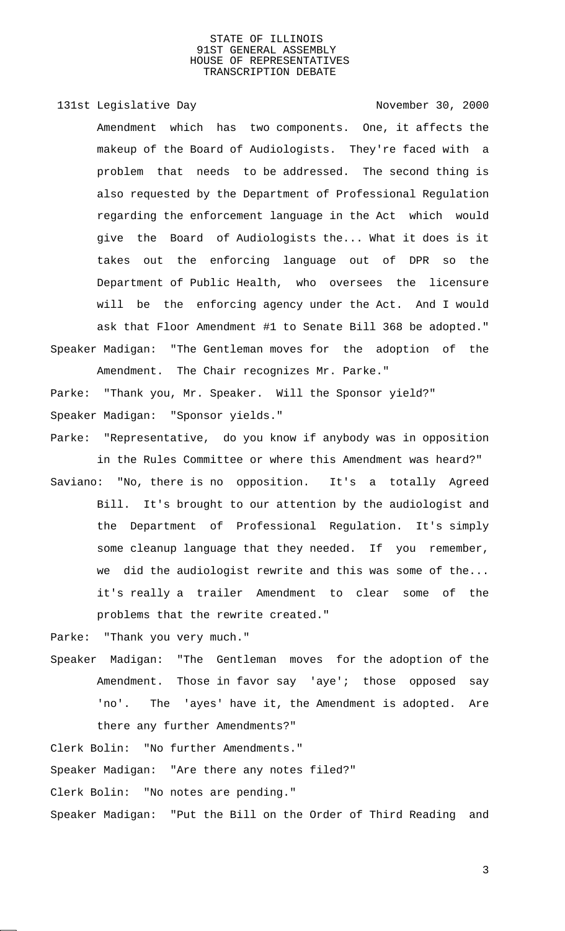131st Legislative Day 131st Company 131st Legislative Day Amendment which has two components. One, it affects the makeup of the Board of Audiologists. They're faced with a problem that needs to be addressed. The second thing is also requested by the Department of Professional Regulation regarding the enforcement language in the Act which would give the Board of Audiologists the... What it does is it takes out the enforcing language out of DPR so the Department of Public Health, who oversees the licensure will be the enforcing agency under the Act. And I would ask that Floor Amendment #1 to Senate Bill 368 be adopted." Speaker Madigan: "The Gentleman moves for the adoption of the Amendment. The Chair recognizes Mr. Parke."

Parke: "Thank you, Mr. Speaker. Will the Sponsor yield?" Speaker Madigan: "Sponsor yields."

Parke: "Representative, do you know if anybody was in opposition in the Rules Committee or where this Amendment was heard?"

Saviano: "No, there is no opposition. It's a totally Agreed Bill. It's brought to our attention by the audiologist and the Department of Professional Regulation. It's simply some cleanup language that they needed. If you remember, we did the audiologist rewrite and this was some of the... it's really a trailer Amendment to clear some of the problems that the rewrite created."

Parke: "Thank you very much."

Speaker Madigan: "The Gentleman moves for the adoption of the Amendment. Those in favor say 'aye'; those opposed say 'no'. The 'ayes' have it, the Amendment is adopted. Are there any further Amendments?"

Clerk Bolin: "No further Amendments."

Speaker Madigan: "Are there any notes filed?"

Clerk Bolin: "No notes are pending."

Speaker Madigan: "Put the Bill on the Order of Third Reading and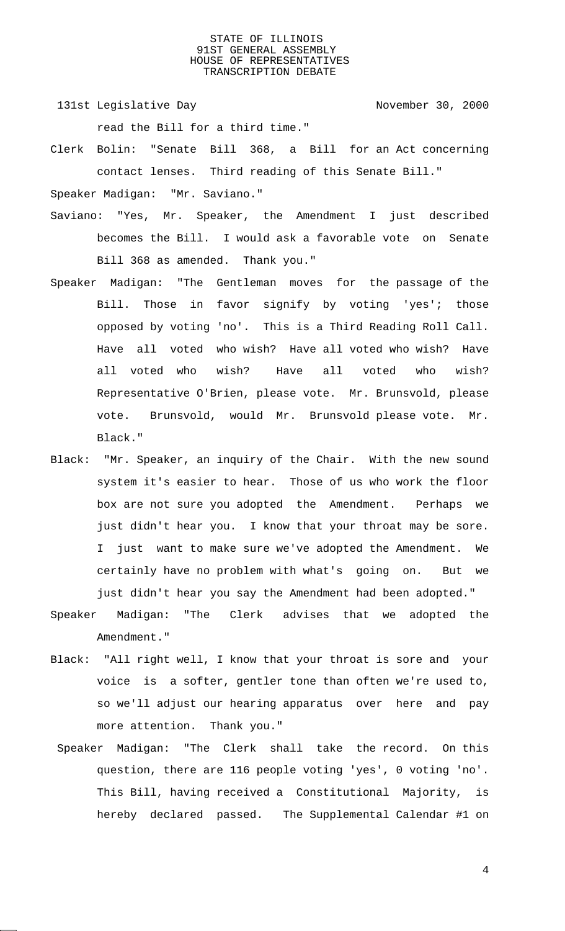- 131st Legislative Day 131st November 30, 2000 read the Bill for a third time."
- Clerk Bolin: "Senate Bill 368, a Bill for an Act concerning contact lenses. Third reading of this Senate Bill."

Speaker Madigan: "Mr. Saviano."

- Saviano: "Yes, Mr. Speaker, the Amendment I just described becomes the Bill. I would ask a favorable vote on Senate Bill 368 as amended. Thank you."
- Speaker Madigan: "The Gentleman moves for the passage of the Bill. Those in favor signify by voting 'yes'; those opposed by voting 'no'. This is a Third Reading Roll Call. Have all voted who wish? Have all voted who wish? Have all voted who wish? Have all voted who wish? Representative O'Brien, please vote. Mr. Brunsvold, please vote. Brunsvold, would Mr. Brunsvold please vote. Mr. Black."
- Black: "Mr. Speaker, an inquiry of the Chair. With the new sound system it's easier to hear. Those of us who work the floor box are not sure you adopted the Amendment. Perhaps we just didn't hear you. I know that your throat may be sore. I just want to make sure we've adopted the Amendment. We certainly have no problem with what's going on. But we just didn't hear you say the Amendment had been adopted."
- Speaker Madigan: "The Clerk advises that we adopted the Amendment."
- Black: "All right well, I know that your throat is sore and your voice is a softer, gentler tone than often we're used to, so we'll adjust our hearing apparatus over here and pay more attention. Thank you."
- Speaker Madigan: "The Clerk shall take the record. On this question, there are 116 people voting 'yes', 0 voting 'no'. This Bill, having received a Constitutional Majority, is hereby declared passed. The Supplemental Calendar #1 on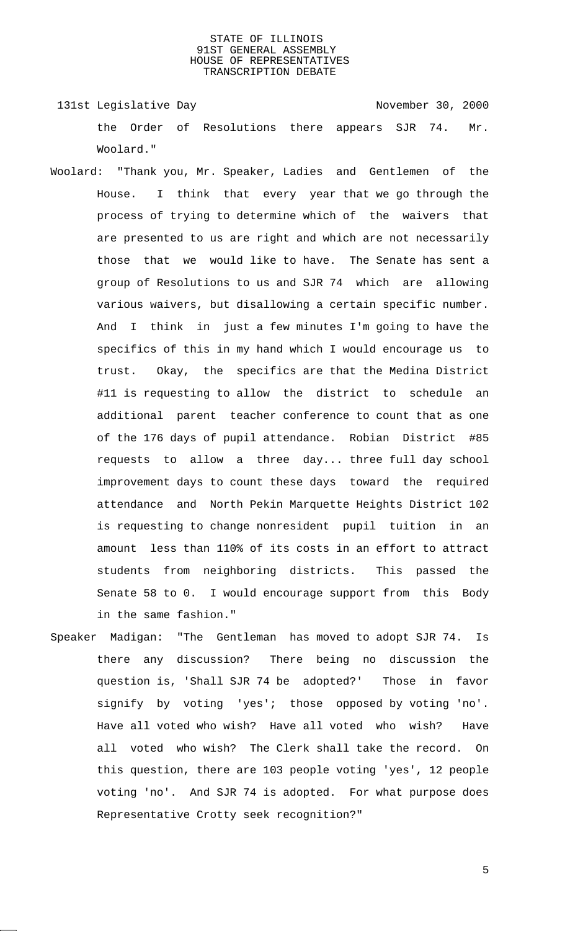131st Legislative Day 131st November 30, 2000 the Order of Resolutions there appears SJR 74. Mr. Woolard."

- Woolard: "Thank you, Mr. Speaker, Ladies and Gentlemen of the House. I think that every year that we go through the process of trying to determine which of the waivers that are presented to us are right and which are not necessarily those that we would like to have. The Senate has sent a group of Resolutions to us and SJR 74 which are allowing various waivers, but disallowing a certain specific number. And I think in just a few minutes I'm going to have the specifics of this in my hand which I would encourage us to trust. Okay, the specifics are that the Medina District #11 is requesting to allow the district to schedule an additional parent teacher conference to count that as one of the 176 days of pupil attendance. Robian District #85 requests to allow a three day... three full day school improvement days to count these days toward the required attendance and North Pekin Marquette Heights District 102 is requesting to change nonresident pupil tuition in an amount less than 110% of its costs in an effort to attract students from neighboring districts. This passed the Senate 58 to 0. I would encourage support from this Body in the same fashion."
- Speaker Madigan: "The Gentleman has moved to adopt SJR 74. Is there any discussion? There being no discussion the question is, 'Shall SJR 74 be adopted?' Those in favor signify by voting 'yes'; those opposed by voting 'no'. Have all voted who wish? Have all voted who wish? Have all voted who wish? The Clerk shall take the record. On this question, there are 103 people voting 'yes', 12 people voting 'no'. And SJR 74 is adopted. For what purpose does Representative Crotty seek recognition?"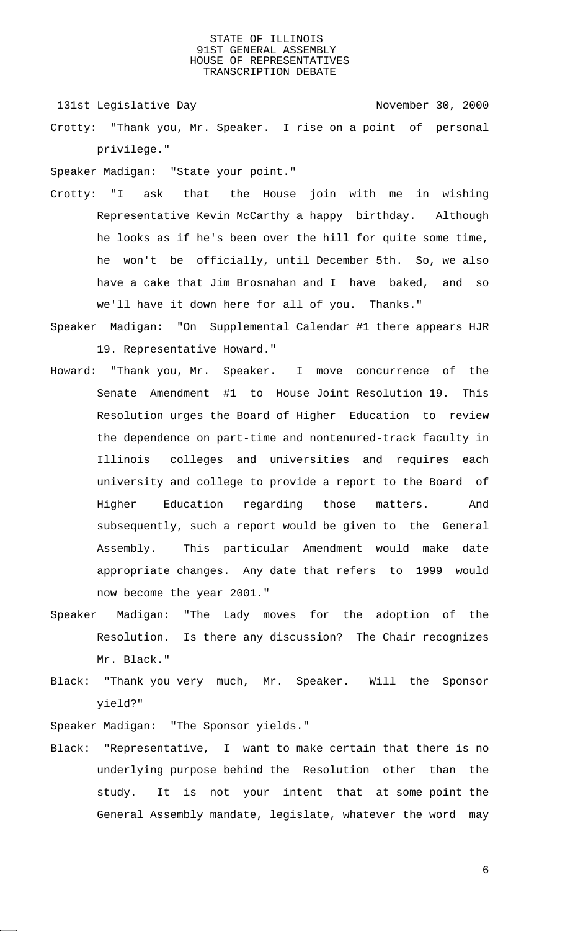131st Legislative Day 131st Company 131st Legislative Day

Crotty: "Thank you, Mr. Speaker. I rise on a point of personal privilege."

Speaker Madigan: "State your point."

- Crotty: "I ask that the House join with me in wishing Representative Kevin McCarthy a happy birthday. Although he looks as if he's been over the hill for quite some time, he won't be officially, until December 5th. So, we also have a cake that Jim Brosnahan and I have baked, and so we'll have it down here for all of you. Thanks."
- Speaker Madigan: "On Supplemental Calendar #1 there appears HJR 19. Representative Howard."
- Howard: "Thank you, Mr. Speaker. I move concurrence of the Senate Amendment #1 to House Joint Resolution 19. This Resolution urges the Board of Higher Education to review the dependence on part-time and nontenured-track faculty in Illinois colleges and universities and requires each university and college to provide a report to the Board of Higher Education regarding those matters. And subsequently, such a report would be given to the General Assembly. This particular Amendment would make date appropriate changes. Any date that refers to 1999 would now become the year 2001."
- Speaker Madigan: "The Lady moves for the adoption of the Resolution. Is there any discussion? The Chair recognizes Mr. Black."
- Black: "Thank you very much, Mr. Speaker. Will the Sponsor yield?"

Speaker Madigan: "The Sponsor yields."

Black: "Representative, I want to make certain that there is no underlying purpose behind the Resolution other than the study. It is not your intent that at some point the General Assembly mandate, legislate, whatever the word may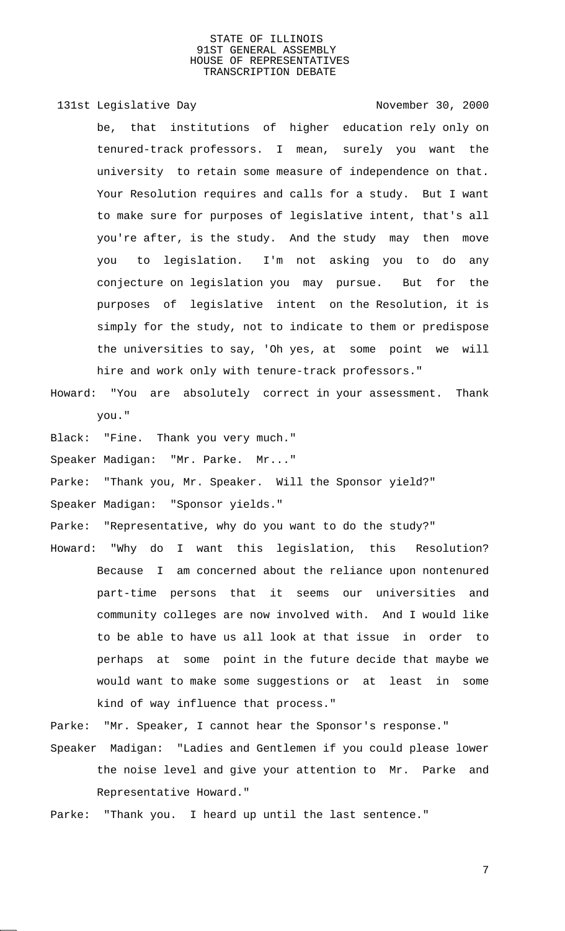131st Legislative Day 131st Company 131st Legislative Day be, that institutions of higher education rely only on tenured-track professors. I mean, surely you want the university to retain some measure of independence on that. Your Resolution requires and calls for a study. But I want to make sure for purposes of legislative intent, that's all you're after, is the study. And the study may then move you to legislation. I'm not asking you to do any conjecture on legislation you may pursue. But for the purposes of legislative intent on the Resolution, it is simply for the study, not to indicate to them or predispose the universities to say, 'Oh yes, at some point we will hire and work only with tenure-track professors."

- Howard: "You are absolutely correct in your assessment. Thank you."
- Black: "Fine. Thank you very much."
- Speaker Madigan: "Mr. Parke. Mr..."
- Parke: "Thank you, Mr. Speaker. Will the Sponsor yield?"
- Speaker Madigan: "Sponsor yields."
- Parke: "Representative, why do you want to do the study?"
- Howard: "Why do I want this legislation, this Resolution? Because I am concerned about the reliance upon nontenured part-time persons that it seems our universities and community colleges are now involved with. And I would like to be able to have us all look at that issue in order to perhaps at some point in the future decide that maybe we would want to make some suggestions or at least in some kind of way influence that process."
- Parke: "Mr. Speaker, I cannot hear the Sponsor's response."
- Speaker Madigan: "Ladies and Gentlemen if you could please lower the noise level and give your attention to Mr. Parke and Representative Howard."
- Parke: "Thank you. I heard up until the last sentence."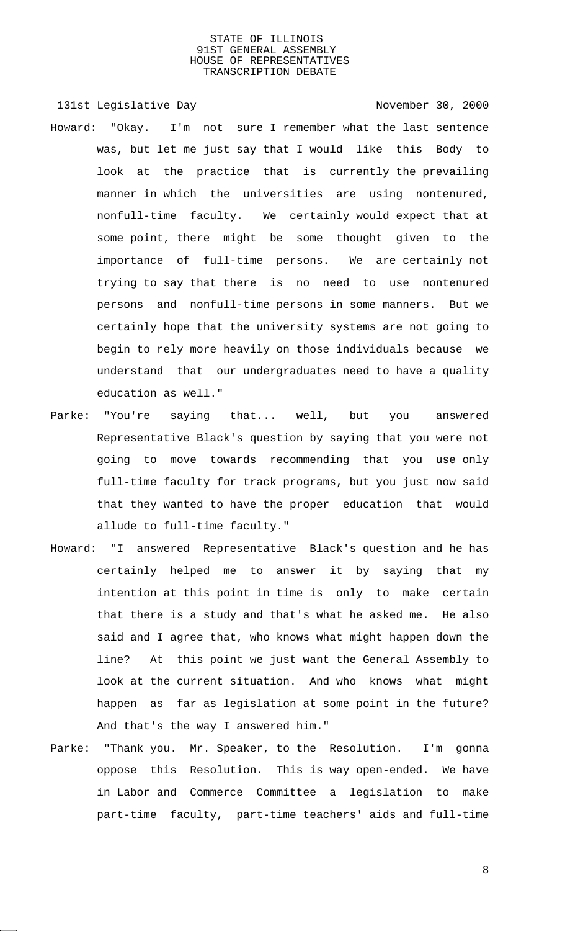131st Legislative Day 131st Company 131st Legislative Day Howard: "Okay. I'm not sure I remember what the last sentence was, but let me just say that I would like this Body to look at the practice that is currently the prevailing manner in which the universities are using nontenured, nonfull-time faculty. We certainly would expect that at some point, there might be some thought given to the importance of full-time persons. We are certainly not trying to say that there is no need to use nontenured persons and nonfull-time persons in some manners. But we certainly hope that the university systems are not going to begin to rely more heavily on those individuals because we understand that our undergraduates need to have a quality education as well."

- Parke: "You're saying that... well, but you answered Representative Black's question by saying that you were not going to move towards recommending that you use only full-time faculty for track programs, but you just now said that they wanted to have the proper education that would allude to full-time faculty."
- Howard: "I answered Representative Black's question and he has certainly helped me to answer it by saying that my intention at this point in time is only to make certain that there is a study and that's what he asked me. He also said and I agree that, who knows what might happen down the line? At this point we just want the General Assembly to look at the current situation. And who knows what might happen as far as legislation at some point in the future? And that's the way I answered him."
- Parke: "Thank you. Mr. Speaker, to the Resolution. I'm gonna oppose this Resolution. This is way open-ended. We have in Labor and Commerce Committee a legislation to make part-time faculty, part-time teachers' aids and full-time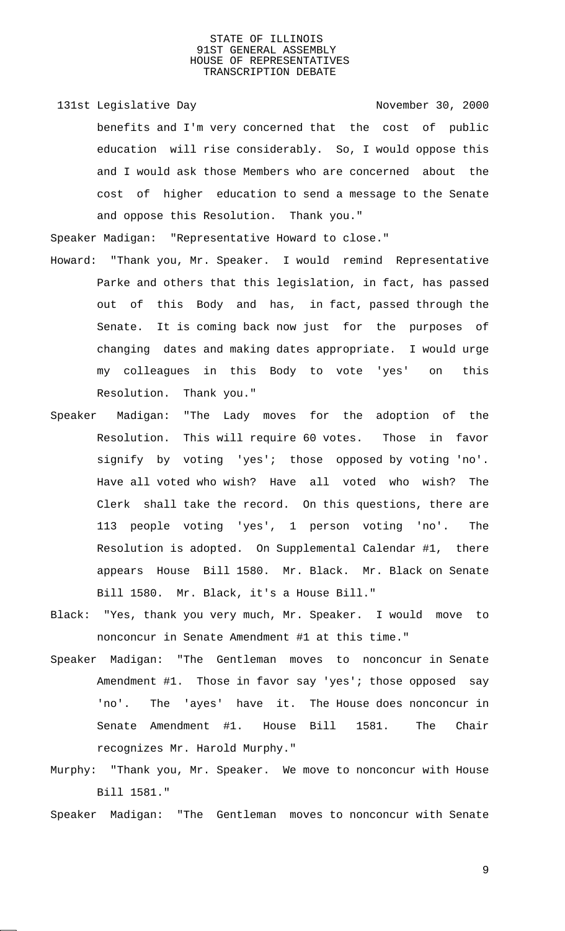131st Legislative Day 131st November 30, 2000 benefits and I'm very concerned that the cost of public education will rise considerably. So, I would oppose this and I would ask those Members who are concerned about the cost of higher education to send a message to the Senate and oppose this Resolution. Thank you."

Speaker Madigan: "Representative Howard to close."

- Howard: "Thank you, Mr. Speaker. I would remind Representative Parke and others that this legislation, in fact, has passed out of this Body and has, in fact, passed through the Senate. It is coming back now just for the purposes of changing dates and making dates appropriate. I would urge my colleagues in this Body to vote 'yes' on this Resolution. Thank you."
- Speaker Madigan: "The Lady moves for the adoption of the Resolution. This will require 60 votes. Those in favor signify by voting 'yes'; those opposed by voting 'no'. Have all voted who wish? Have all voted who wish? The Clerk shall take the record. On this questions, there are 113 people voting 'yes', 1 person voting 'no'. The Resolution is adopted. On Supplemental Calendar #1, there appears House Bill 1580. Mr. Black. Mr. Black on Senate Bill 1580. Mr. Black, it's a House Bill."
- Black: "Yes, thank you very much, Mr. Speaker. I would move to nonconcur in Senate Amendment #1 at this time."
- Speaker Madigan: "The Gentleman moves to nonconcur in Senate Amendment #1. Those in favor say 'yes'; those opposed say 'no'. The 'ayes' have it. The House does nonconcur in Senate Amendment #1. House Bill 1581. The Chair recognizes Mr. Harold Murphy."
- Murphy: "Thank you, Mr. Speaker. We move to nonconcur with House Bill 1581."
- Speaker Madigan: "The Gentleman moves to nonconcur with Senate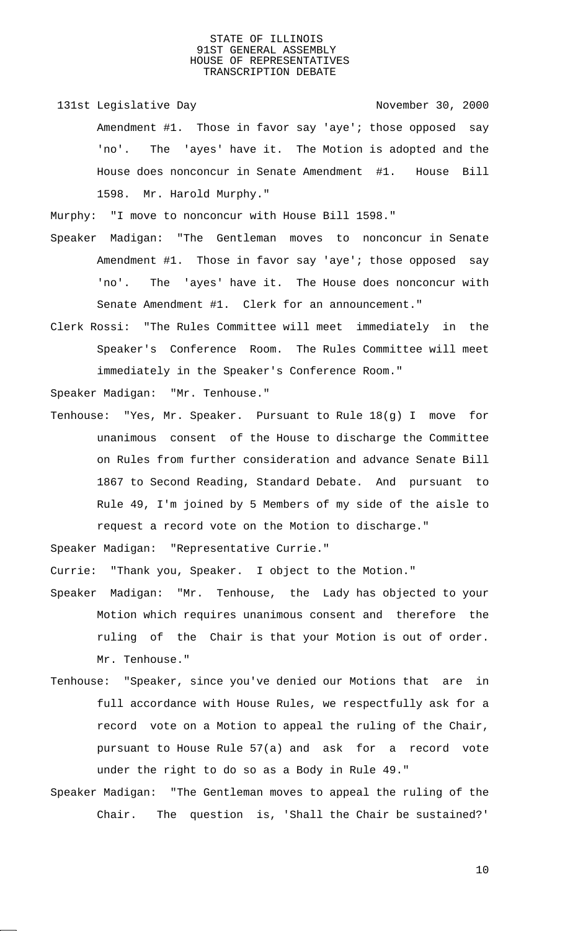131st Legislative Day 131st November 30, 2000 Amendment #1. Those in favor say 'aye'; those opposed say 'no'. The 'ayes' have it. The Motion is adopted and the House does nonconcur in Senate Amendment #1. House Bill 1598. Mr. Harold Murphy."

Murphy: "I move to nonconcur with House Bill 1598."

- Speaker Madigan: "The Gentleman moves to nonconcur in Senate Amendment #1. Those in favor say 'aye'; those opposed say 'no'. The 'ayes' have it. The House does nonconcur with Senate Amendment #1. Clerk for an announcement."
- Clerk Rossi: "The Rules Committee will meet immediately in the Speaker's Conference Room. The Rules Committee will meet immediately in the Speaker's Conference Room."

Speaker Madigan: "Mr. Tenhouse."

Tenhouse: "Yes, Mr. Speaker. Pursuant to Rule 18(g) I move for unanimous consent of the House to discharge the Committee on Rules from further consideration and advance Senate Bill 1867 to Second Reading, Standard Debate. And pursuant to Rule 49, I'm joined by 5 Members of my side of the aisle to request a record vote on the Motion to discharge."

Speaker Madigan: "Representative Currie."

Currie: "Thank you, Speaker. I object to the Motion."

- Speaker Madigan: "Mr. Tenhouse, the Lady has objected to your Motion which requires unanimous consent and therefore the ruling of the Chair is that your Motion is out of order. Mr. Tenhouse."
- Tenhouse: "Speaker, since you've denied our Motions that are in full accordance with House Rules, we respectfully ask for a record vote on a Motion to appeal the ruling of the Chair, pursuant to House Rule 57(a) and ask for a record vote under the right to do so as a Body in Rule 49."
- Speaker Madigan: "The Gentleman moves to appeal the ruling of the Chair. The question is, 'Shall the Chair be sustained?'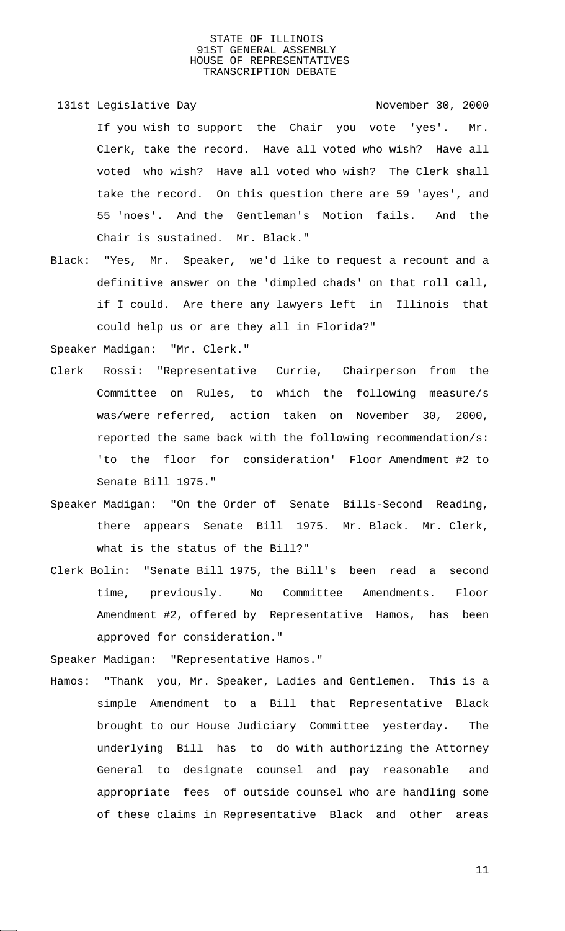- 131st Legislative Day 131st November 30, 2000 If you wish to support the Chair you vote 'yes'. Mr. Clerk, take the record. Have all voted who wish? Have all voted who wish? Have all voted who wish? The Clerk shall take the record. On this question there are 59 'ayes', and 55 'noes'. And the Gentleman's Motion fails. And the Chair is sustained. Mr. Black."
- Black: "Yes, Mr. Speaker, we'd like to request a recount and a definitive answer on the 'dimpled chads' on that roll call, if I could. Are there any lawyers left in Illinois that could help us or are they all in Florida?"

Speaker Madigan: "Mr. Clerk."

- Clerk Rossi: "Representative Currie, Chairperson from the Committee on Rules, to which the following measure/s was/were referred, action taken on November 30, 2000, reported the same back with the following recommendation/s: 'to the floor for consideration' Floor Amendment #2 to Senate Bill 1975."
- Speaker Madigan: "On the Order of Senate Bills-Second Reading, there appears Senate Bill 1975. Mr. Black. Mr. Clerk, what is the status of the Bill?"
- Clerk Bolin: "Senate Bill 1975, the Bill's been read a second time, previously. No Committee Amendments. Floor Amendment #2, offered by Representative Hamos, has been approved for consideration."

Speaker Madigan: "Representative Hamos."

Hamos: "Thank you, Mr. Speaker, Ladies and Gentlemen. This is a simple Amendment to a Bill that Representative Black brought to our House Judiciary Committee yesterday. The underlying Bill has to do with authorizing the Attorney General to designate counsel and pay reasonable and appropriate fees of outside counsel who are handling some of these claims in Representative Black and other areas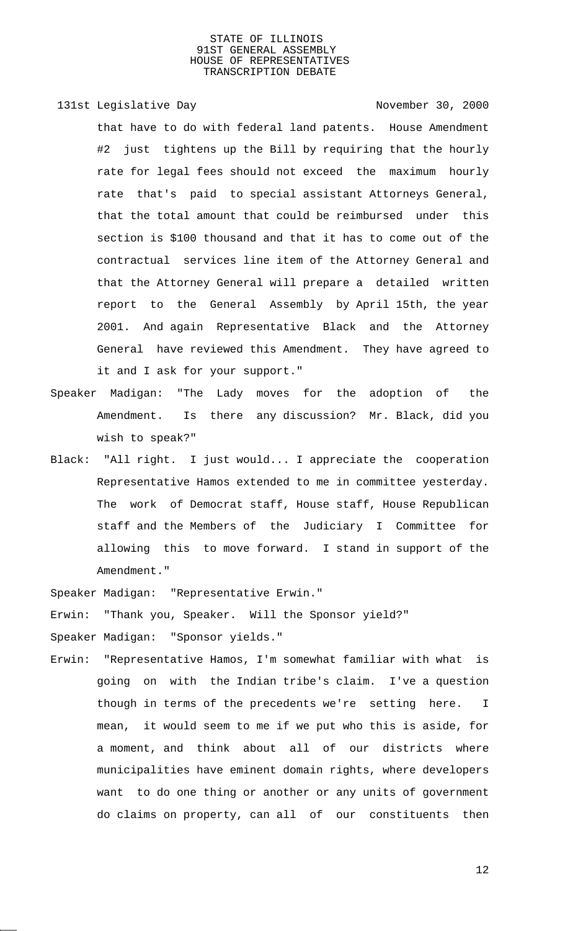131st Legislative Day 131st November 30, 2000 that have to do with federal land patents. House Amendment #2 just tightens up the Bill by requiring that the hourly rate for legal fees should not exceed the maximum hourly rate that's paid to special assistant Attorneys General, that the total amount that could be reimbursed under this section is \$100 thousand and that it has to come out of the contractual services line item of the Attorney General and that the Attorney General will prepare a detailed written report to the General Assembly by April 15th, the year 2001. And again Representative Black and the Attorney General have reviewed this Amendment. They have agreed to it and I ask for your support."

- Speaker Madigan: "The Lady moves for the adoption of the Amendment. Is there any discussion? Mr. Black, did you wish to speak?"
- Black: "All right. I just would... I appreciate the cooperation Representative Hamos extended to me in committee yesterday. The work of Democrat staff, House staff, House Republican staff and the Members of the Judiciary I Committee for allowing this to move forward. I stand in support of the Amendment."

Speaker Madigan: "Representative Erwin."

Erwin: "Thank you, Speaker. Will the Sponsor yield?"

Speaker Madigan: "Sponsor yields."

Erwin: "Representative Hamos, I'm somewhat familiar with what is going on with the Indian tribe's claim. I've a question though in terms of the precedents we're setting here. I mean, it would seem to me if we put who this is aside, for a moment, and think about all of our districts where municipalities have eminent domain rights, where developers want to do one thing or another or any units of government do claims on property, can all of our constituents then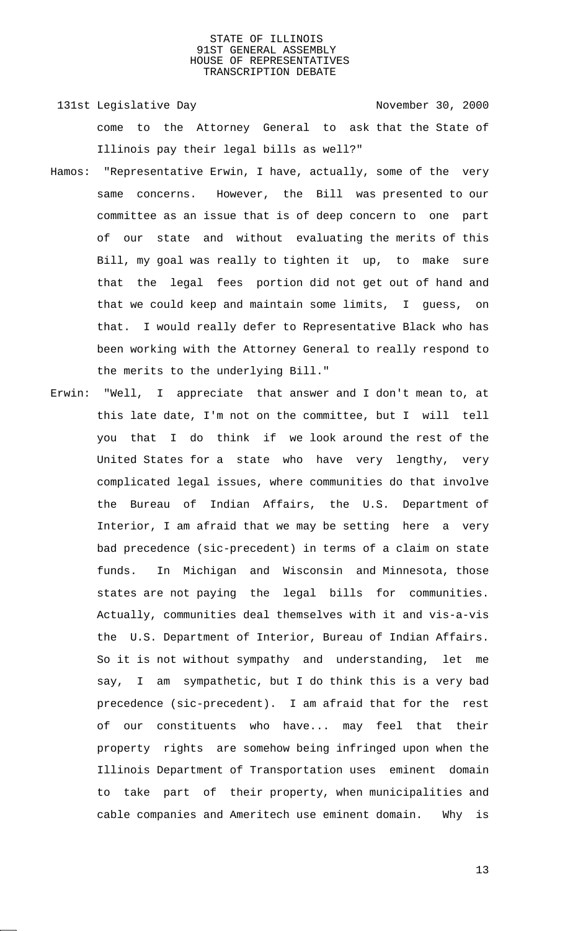- 131st Legislative Day 131st November 30, 2000 come to the Attorney General to ask that the State of Illinois pay their legal bills as well?"
- Hamos: "Representative Erwin, I have, actually, some of the very same concerns. However, the Bill was presented to our committee as an issue that is of deep concern to one part of our state and without evaluating the merits of this Bill, my goal was really to tighten it up, to make sure that the legal fees portion did not get out of hand and that we could keep and maintain some limits, I guess, on that. I would really defer to Representative Black who has been working with the Attorney General to really respond to the merits to the underlying Bill."
- Erwin: "Well, I appreciate that answer and I don't mean to, at this late date, I'm not on the committee, but I will tell you that I do think if we look around the rest of the United States for a state who have very lengthy, very complicated legal issues, where communities do that involve the Bureau of Indian Affairs, the U.S. Department of Interior, I am afraid that we may be setting here a very bad precedence (sic-precedent) in terms of a claim on state funds. In Michigan and Wisconsin and Minnesota, those states are not paying the legal bills for communities. Actually, communities deal themselves with it and vis-a-vis the U.S. Department of Interior, Bureau of Indian Affairs. So it is not without sympathy and understanding, let me say, I am sympathetic, but I do think this is a very bad precedence (sic-precedent). I am afraid that for the rest of our constituents who have... may feel that their property rights are somehow being infringed upon when the Illinois Department of Transportation uses eminent domain to take part of their property, when municipalities and cable companies and Ameritech use eminent domain. Why is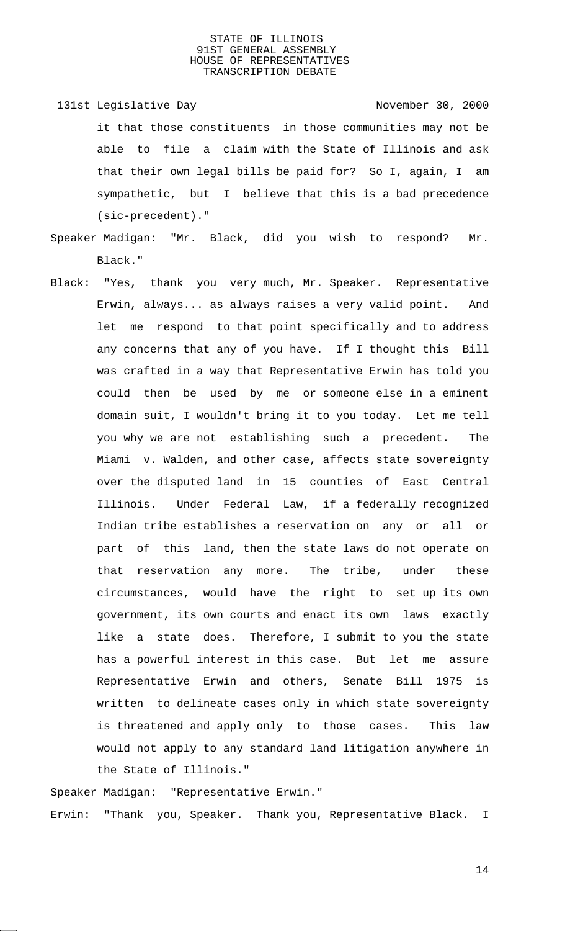- 131st Legislative Day 131st November 30, 2000 it that those constituents in those communities may not be able to file a claim with the State of Illinois and ask that their own legal bills be paid for? So I, again, I am sympathetic, but I believe that this is a bad precedence (sic-precedent)."
- Speaker Madigan: "Mr. Black, did you wish to respond? Mr. Black."
- Black: "Yes, thank you very much, Mr. Speaker. Representative Erwin, always... as always raises a very valid point. And let me respond to that point specifically and to address any concerns that any of you have. If I thought this Bill was crafted in a way that Representative Erwin has told you could then be used by me or someone else in a eminent domain suit, I wouldn't bring it to you today. Let me tell you why we are not establishing such a precedent. The Miami v. Walden, and other case, affects state sovereignty over the disputed land in 15 counties of East Central Illinois. Under Federal Law, if a federally recognized Indian tribe establishes a reservation on any or all or part of this land, then the state laws do not operate on that reservation any more. The tribe, under these circumstances, would have the right to set up its own government, its own courts and enact its own laws exactly like a state does. Therefore, I submit to you the state has a powerful interest in this case. But let me assure Representative Erwin and others, Senate Bill 1975 is written to delineate cases only in which state sovereignty is threatened and apply only to those cases. This law would not apply to any standard land litigation anywhere in the State of Illinois."

Speaker Madigan: "Representative Erwin." Erwin: "Thank you, Speaker. Thank you, Representative Black. I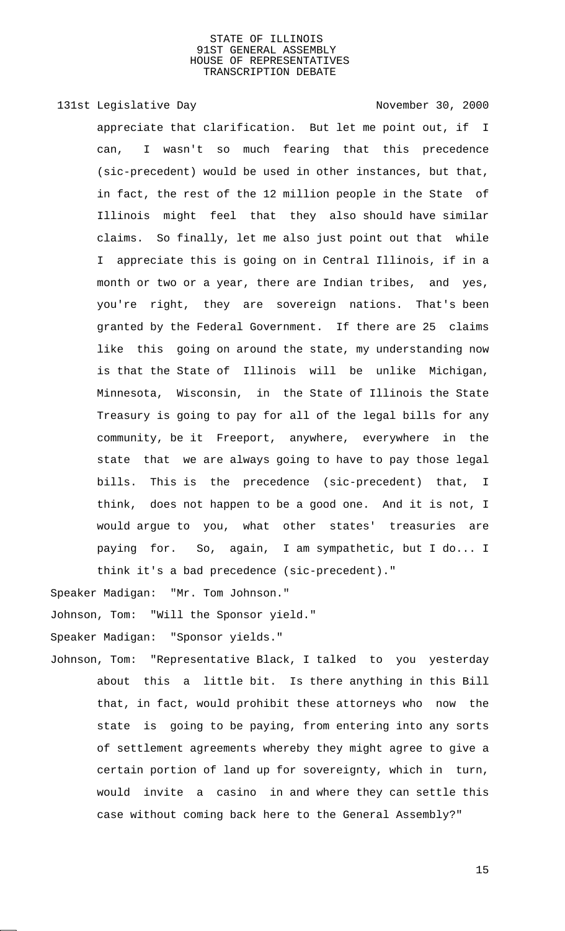# 131st Legislative Day 131st November 30, 2000

appreciate that clarification. But let me point out, if I can, I wasn't so much fearing that this precedence (sic-precedent) would be used in other instances, but that, in fact, the rest of the 12 million people in the State of Illinois might feel that they also should have similar claims. So finally, let me also just point out that while I appreciate this is going on in Central Illinois, if in a month or two or a year, there are Indian tribes, and yes, you're right, they are sovereign nations. That's been granted by the Federal Government. If there are 25 claims like this going on around the state, my understanding now is that the State of Illinois will be unlike Michigan, Minnesota, Wisconsin, in the State of Illinois the State Treasury is going to pay for all of the legal bills for any community, be it Freeport, anywhere, everywhere in the state that we are always going to have to pay those legal bills. This is the precedence (sic-precedent) that, I think, does not happen to be a good one. And it is not, I would argue to you, what other states' treasuries are paying for. So, again, I am sympathetic, but I do... I think it's a bad precedence (sic-precedent)."

Speaker Madigan: "Mr. Tom Johnson."

Johnson, Tom: "Will the Sponsor yield."

Speaker Madigan: "Sponsor yields."

Johnson, Tom: "Representative Black, I talked to you yesterday about this a little bit. Is there anything in this Bill that, in fact, would prohibit these attorneys who now the state is going to be paying, from entering into any sorts of settlement agreements whereby they might agree to give a certain portion of land up for sovereignty, which in turn, would invite a casino in and where they can settle this case without coming back here to the General Assembly?"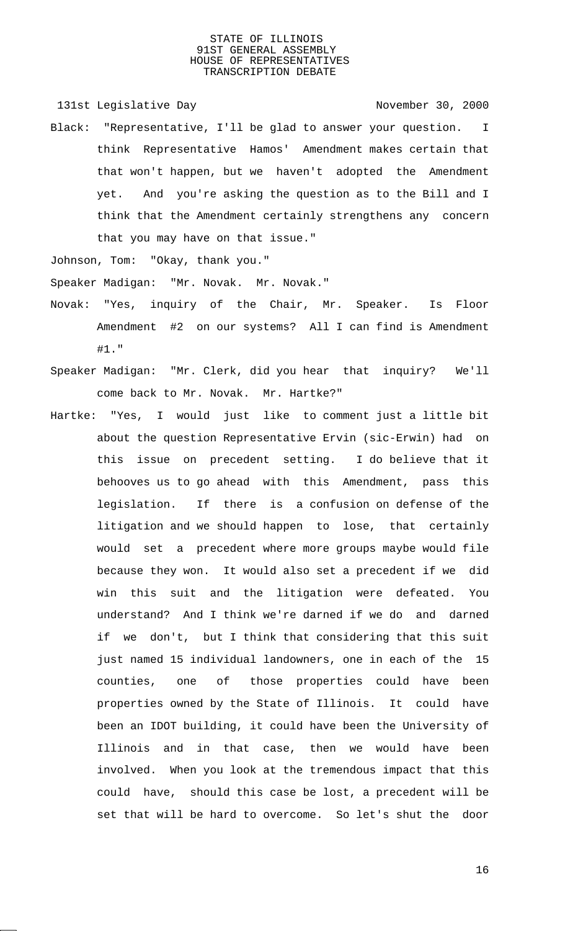131st Legislative Day 131st Company 131st Legislative Day

Black: "Representative, I'll be glad to answer your question. I think Representative Hamos' Amendment makes certain that that won't happen, but we haven't adopted the Amendment yet. And you're asking the question as to the Bill and I think that the Amendment certainly strengthens any concern that you may have on that issue."

Johnson, Tom: "Okay, thank you."

Speaker Madigan: "Mr. Novak. Mr. Novak."

- Novak: "Yes, inquiry of the Chair, Mr. Speaker. Is Floor Amendment #2 on our systems? All I can find is Amendment #1."
- Speaker Madigan: "Mr. Clerk, did you hear that inquiry? We'll come back to Mr. Novak. Mr. Hartke?"
- Hartke: "Yes, I would just like to comment just a little bit about the question Representative Ervin (sic-Erwin) had on this issue on precedent setting. I do believe that it behooves us to go ahead with this Amendment, pass this legislation. If there is a confusion on defense of the litigation and we should happen to lose, that certainly would set a precedent where more groups maybe would file because they won. It would also set a precedent if we did win this suit and the litigation were defeated. You understand? And I think we're darned if we do and darned if we don't, but I think that considering that this suit just named 15 individual landowners, one in each of the 15 counties, one of those properties could have been properties owned by the State of Illinois. It could have been an IDOT building, it could have been the University of Illinois and in that case, then we would have been involved. When you look at the tremendous impact that this could have, should this case be lost, a precedent will be set that will be hard to overcome. So let's shut the door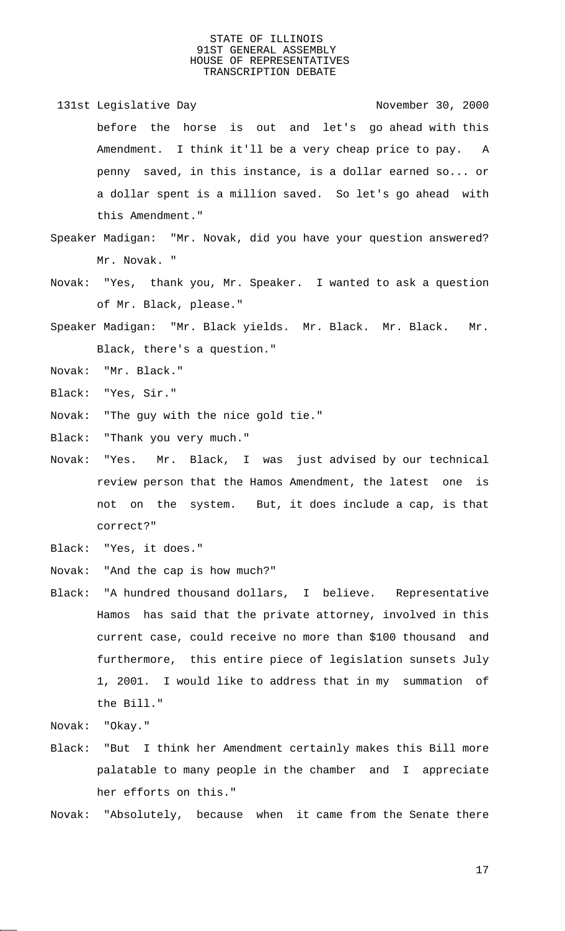- 131st Legislative Day 131st Company 131st Legislative Day before the horse is out and let's go ahead with this Amendment. I think it'll be a very cheap price to pay. A penny saved, in this instance, is a dollar earned so... or a dollar spent is a million saved. So let's go ahead with this Amendment."
- Speaker Madigan: "Mr. Novak, did you have your question answered? Mr. Novak. "
- Novak: "Yes, thank you, Mr. Speaker. I wanted to ask a question of Mr. Black, please."
- Speaker Madigan: "Mr. Black yields. Mr. Black. Mr. Black. Mr. Black, there's a question."
- Novak: "Mr. Black."
- Black: "Yes, Sir."
- Novak: "The guy with the nice gold tie."
- Black: "Thank you very much."
- Novak: "Yes. Mr. Black, I was just advised by our technical review person that the Hamos Amendment, the latest one is not on the system. But, it does include a cap, is that correct?"
- Black: "Yes, it does."
- Novak: "And the cap is how much?"
- Black: "A hundred thousand dollars, I believe. Representative Hamos has said that the private attorney, involved in this current case, could receive no more than \$100 thousand and furthermore, this entire piece of legislation sunsets July 1, 2001. I would like to address that in my summation of the Bill."
- Novak: "Okay."
- Black: "But I think her Amendment certainly makes this Bill more palatable to many people in the chamber and I appreciate her efforts on this."
- Novak: "Absolutely, because when it came from the Senate there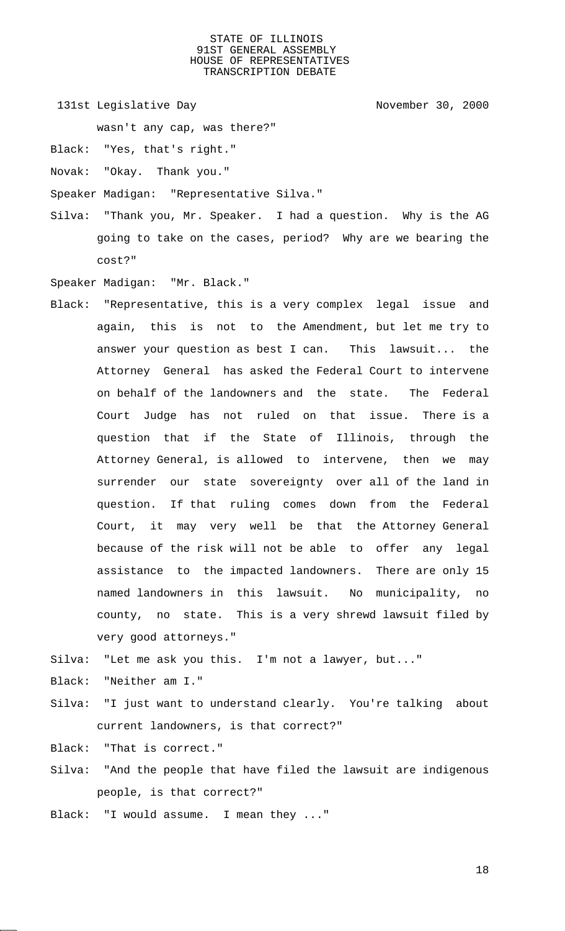131st Legislative Day 131st November 30, 2000

wasn't any cap, was there?"

Black: "Yes, that's right."

Novak: "Okay. Thank you."

Speaker Madigan: "Representative Silva."

Silva: "Thank you, Mr. Speaker. I had a question. Why is the AG going to take on the cases, period? Why are we bearing the cost?"

Speaker Madigan: "Mr. Black."

Black: "Representative, this is a very complex legal issue and again, this is not to the Amendment, but let me try to answer your question as best I can. This lawsuit... the Attorney General has asked the Federal Court to intervene on behalf of the landowners and the state. The Federal Court Judge has not ruled on that issue. There is a question that if the State of Illinois, through the Attorney General, is allowed to intervene, then we may surrender our state sovereignty over all of the land in question. If that ruling comes down from the Federal Court, it may very well be that the Attorney General because of the risk will not be able to offer any legal assistance to the impacted landowners. There are only 15 named landowners in this lawsuit. No municipality, no county, no state. This is a very shrewd lawsuit filed by very good attorneys."

Silva: "Let me ask you this. I'm not a lawyer, but..."

Black: "Neither am I."

Silva: "I just want to understand clearly. You're talking about current landowners, is that correct?"

Black: "That is correct."

Silva: "And the people that have filed the lawsuit are indigenous people, is that correct?"

Black: "I would assume. I mean they ..."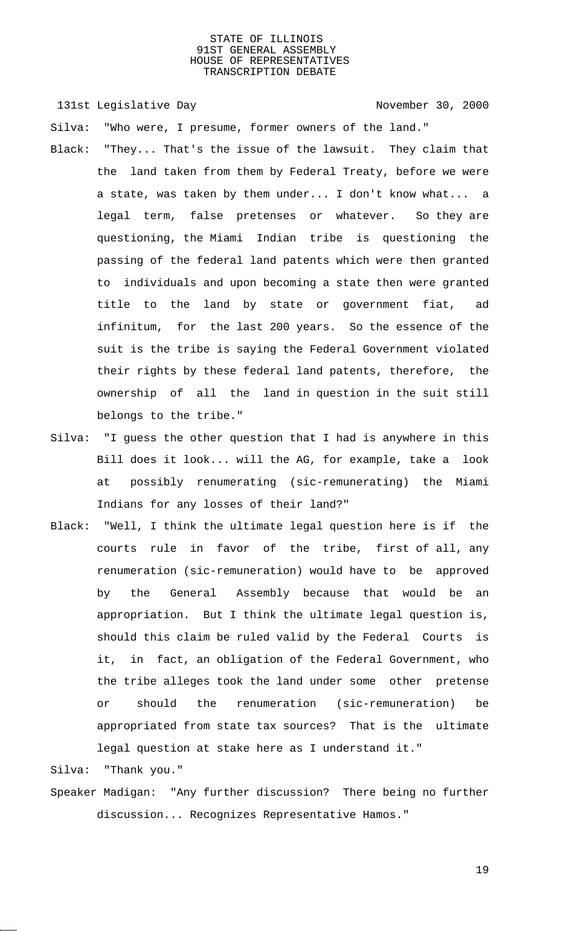131st Legislative Day 131st November 30, 2000

Silva: "Who were, I presume, former owners of the land."

- Black: "They... That's the issue of the lawsuit. They claim that the land taken from them by Federal Treaty, before we were a state, was taken by them under... I don't know what... a legal term, false pretenses or whatever. So they are questioning, the Miami Indian tribe is questioning the passing of the federal land patents which were then granted to individuals and upon becoming a state then were granted title to the land by state or government fiat, ad infinitum, for the last 200 years. So the essence of the suit is the tribe is saying the Federal Government violated their rights by these federal land patents, therefore, the ownership of all the land in question in the suit still belongs to the tribe."
- Silva: "I guess the other question that I had is anywhere in this Bill does it look... will the AG, for example, take a look at possibly renumerating (sic-remunerating) the Miami Indians for any losses of their land?"
- Black: "Well, I think the ultimate legal question here is if the courts rule in favor of the tribe, first of all, any renumeration (sic-remuneration) would have to be approved by the General Assembly because that would be an appropriation. But I think the ultimate legal question is, should this claim be ruled valid by the Federal Courts is it, in fact, an obligation of the Federal Government, who the tribe alleges took the land under some other pretense or should the renumeration (sic-remuneration) be appropriated from state tax sources? That is the ultimate legal question at stake here as I understand it."

Silva: "Thank you."

Speaker Madigan: "Any further discussion? There being no further discussion... Recognizes Representative Hamos."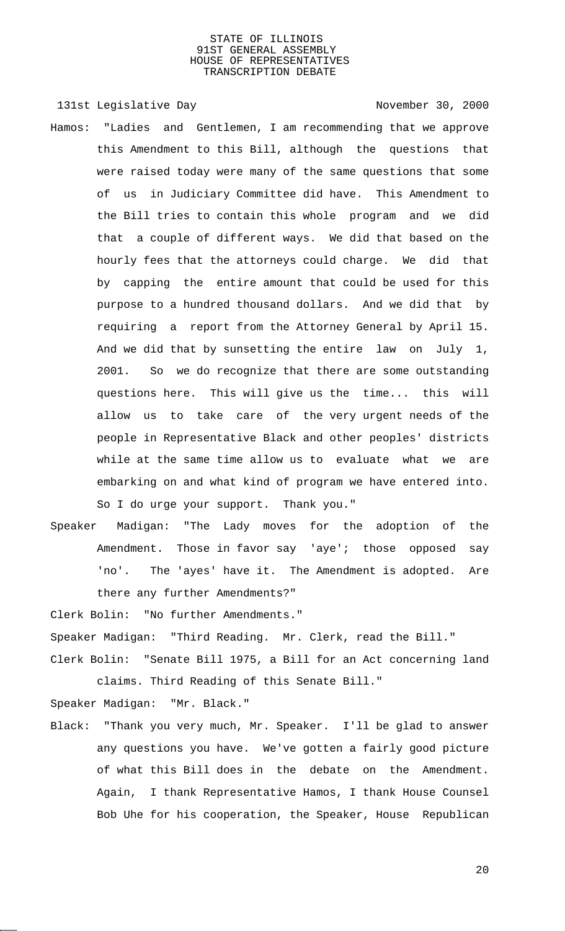131st Legislative Day 131st Company 131st Legislative Day

- Hamos: "Ladies and Gentlemen, I am recommending that we approve this Amendment to this Bill, although the questions that were raised today were many of the same questions that some of us in Judiciary Committee did have. This Amendment to the Bill tries to contain this whole program and we did that a couple of different ways. We did that based on the hourly fees that the attorneys could charge. We did that by capping the entire amount that could be used for this purpose to a hundred thousand dollars. And we did that by requiring a report from the Attorney General by April 15. And we did that by sunsetting the entire law on July 1, 2001. So we do recognize that there are some outstanding questions here. This will give us the time... this will allow us to take care of the very urgent needs of the people in Representative Black and other peoples' districts while at the same time allow us to evaluate what we are embarking on and what kind of program we have entered into. So I do urge your support. Thank you."
- Speaker Madigan: "The Lady moves for the adoption of the Amendment. Those in favor say 'aye'; those opposed say 'no'. The 'ayes' have it. The Amendment is adopted. Are there any further Amendments?"

Clerk Bolin: "No further Amendments."

Speaker Madigan: "Third Reading. Mr. Clerk, read the Bill."

Clerk Bolin: "Senate Bill 1975, a Bill for an Act concerning land claims. Third Reading of this Senate Bill."

Speaker Madigan: "Mr. Black."

Black: "Thank you very much, Mr. Speaker. I'll be glad to answer any questions you have. We've gotten a fairly good picture of what this Bill does in the debate on the Amendment. Again, I thank Representative Hamos, I thank House Counsel Bob Uhe for his cooperation, the Speaker, House Republican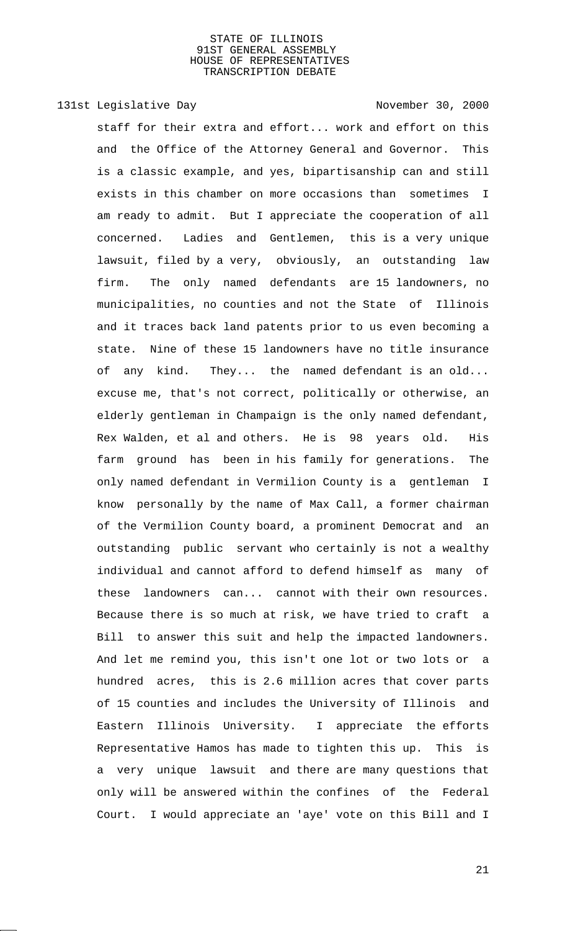# 131st Legislative Day 131st November 30, 2000

staff for their extra and effort... work and effort on this and the Office of the Attorney General and Governor. This is a classic example, and yes, bipartisanship can and still exists in this chamber on more occasions than sometimes I am ready to admit. But I appreciate the cooperation of all concerned. Ladies and Gentlemen, this is a very unique lawsuit, filed by a very, obviously, an outstanding law firm. The only named defendants are 15 landowners, no municipalities, no counties and not the State of Illinois and it traces back land patents prior to us even becoming a state. Nine of these 15 landowners have no title insurance of any kind. They... the named defendant is an old... excuse me, that's not correct, politically or otherwise, an elderly gentleman in Champaign is the only named defendant, Rex Walden, et al and others. He is 98 years old. His farm ground has been in his family for generations. The only named defendant in Vermilion County is a gentleman I know personally by the name of Max Call, a former chairman of the Vermilion County board, a prominent Democrat and an outstanding public servant who certainly is not a wealthy individual and cannot afford to defend himself as many of these landowners can... cannot with their own resources. Because there is so much at risk, we have tried to craft a Bill to answer this suit and help the impacted landowners. And let me remind you, this isn't one lot or two lots or a hundred acres, this is 2.6 million acres that cover parts of 15 counties and includes the University of Illinois and Eastern Illinois University. I appreciate the efforts Representative Hamos has made to tighten this up. This is a very unique lawsuit and there are many questions that only will be answered within the confines of the Federal Court. I would appreciate an 'aye' vote on this Bill and I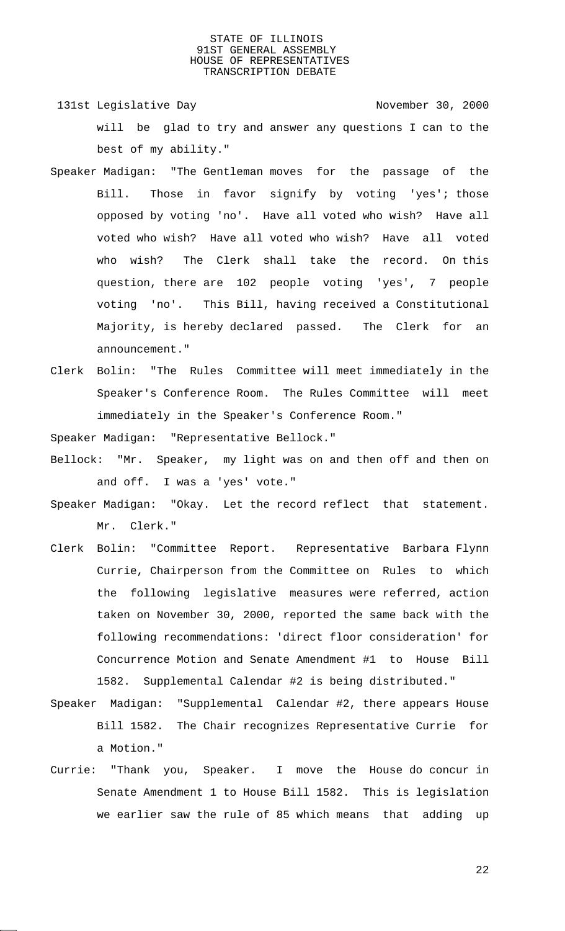131st Legislative Day 131st Company 2000 will be glad to try and answer any questions I can to the best of my ability."

- Speaker Madigan: "The Gentleman moves for the passage of the Bill. Those in favor signify by voting 'yes'; those opposed by voting 'no'. Have all voted who wish? Have all voted who wish? Have all voted who wish? Have all voted who wish? The Clerk shall take the record. On this question, there are 102 people voting 'yes', 7 people voting 'no'. This Bill, having received a Constitutional Majority, is hereby declared passed. The Clerk for an announcement."
- Clerk Bolin: "The Rules Committee will meet immediately in the Speaker's Conference Room. The Rules Committee will meet immediately in the Speaker's Conference Room."

Speaker Madigan: "Representative Bellock."

- Bellock: "Mr. Speaker, my light was on and then off and then on and off. I was a 'yes' vote."
- Speaker Madigan: "Okay. Let the record reflect that statement. Mr. Clerk."
- Clerk Bolin: "Committee Report. Representative Barbara Flynn Currie, Chairperson from the Committee on Rules to which the following legislative measures were referred, action taken on November 30, 2000, reported the same back with the following recommendations: 'direct floor consideration' for Concurrence Motion and Senate Amendment #1 to House Bill 1582. Supplemental Calendar #2 is being distributed."
- Speaker Madigan: "Supplemental Calendar #2, there appears House Bill 1582. The Chair recognizes Representative Currie for a Motion."
- Currie: "Thank you, Speaker. I move the House do concur in Senate Amendment 1 to House Bill 1582. This is legislation we earlier saw the rule of 85 which means that adding up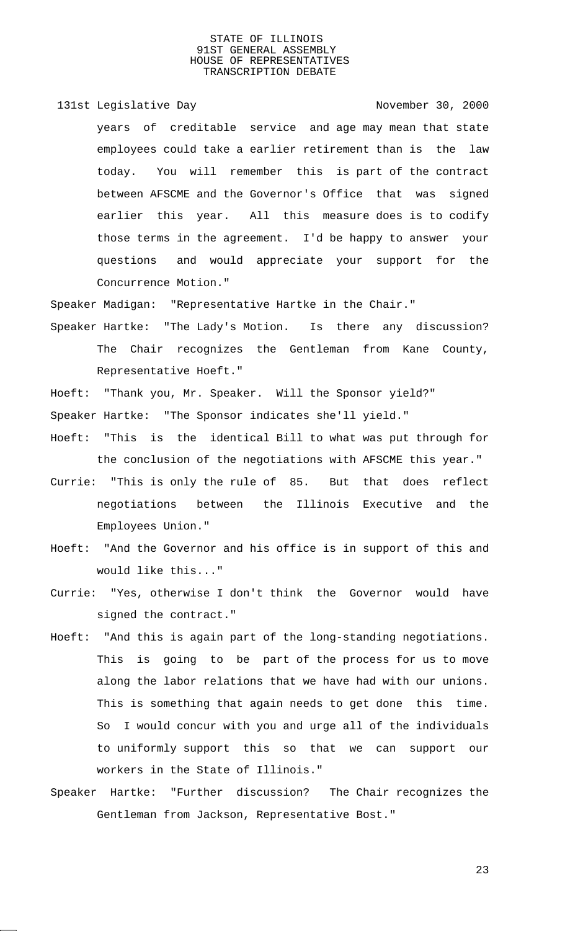131st Legislative Day 131st November 30, 2000 years of creditable service and age may mean that state employees could take a earlier retirement than is the law today. You will remember this is part of the contract between AFSCME and the Governor's Office that was signed earlier this year. All this measure does is to codify those terms in the agreement. I'd be happy to answer your questions and would appreciate your support for the Concurrence Motion."

Speaker Madigan: "Representative Hartke in the Chair."

Speaker Hartke: "The Lady's Motion. Is there any discussion? The Chair recognizes the Gentleman from Kane County, Representative Hoeft."

Hoeft: "Thank you, Mr. Speaker. Will the Sponsor yield?"

Speaker Hartke: "The Sponsor indicates she'll yield."

- Hoeft: "This is the identical Bill to what was put through for the conclusion of the negotiations with AFSCME this year."
- Currie: "This is only the rule of 85. But that does reflect negotiations between the Illinois Executive and the Employees Union."
- Hoeft: "And the Governor and his office is in support of this and would like this..."
- Currie: "Yes, otherwise I don't think the Governor would have signed the contract."
- Hoeft: "And this is again part of the long-standing negotiations. This is going to be part of the process for us to move along the labor relations that we have had with our unions. This is something that again needs to get done this time. So I would concur with you and urge all of the individuals to uniformly support this so that we can support our workers in the State of Illinois."
- Speaker Hartke: "Further discussion? The Chair recognizes the Gentleman from Jackson, Representative Bost."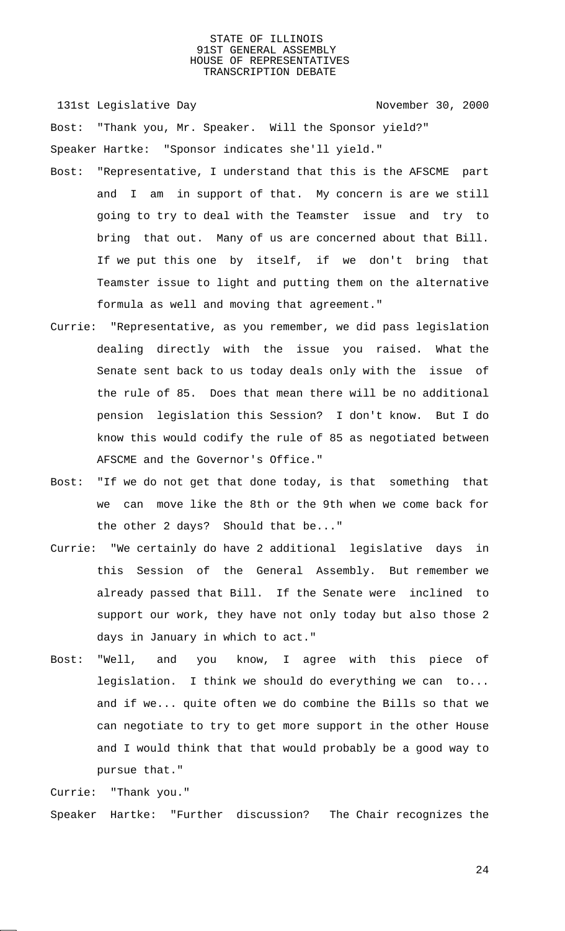131st Legislative Day 131st Company 2000

Bost: "Thank you, Mr. Speaker. Will the Sponsor yield?" Speaker Hartke: "Sponsor indicates she'll yield."

- Bost: "Representative, I understand that this is the AFSCME part and I am in support of that. My concern is are we still going to try to deal with the Teamster issue and try to bring that out. Many of us are concerned about that Bill. If we put this one by itself, if we don't bring that Teamster issue to light and putting them on the alternative formula as well and moving that agreement."
- Currie: "Representative, as you remember, we did pass legislation dealing directly with the issue you raised. What the Senate sent back to us today deals only with the issue of the rule of 85. Does that mean there will be no additional pension legislation this Session? I don't know. But I do know this would codify the rule of 85 as negotiated between AFSCME and the Governor's Office."
- Bost: "If we do not get that done today, is that something that we can move like the 8th or the 9th when we come back for the other 2 days? Should that be..."
- Currie: "We certainly do have 2 additional legislative days in this Session of the General Assembly. But remember we already passed that Bill. If the Senate were inclined to support our work, they have not only today but also those 2 days in January in which to act."
- Bost: "Well, and you know, I agree with this piece of legislation. I think we should do everything we can to... and if we... quite often we do combine the Bills so that we can negotiate to try to get more support in the other House and I would think that that would probably be a good way to pursue that."

Currie: "Thank you."

Speaker Hartke: "Further discussion? The Chair recognizes the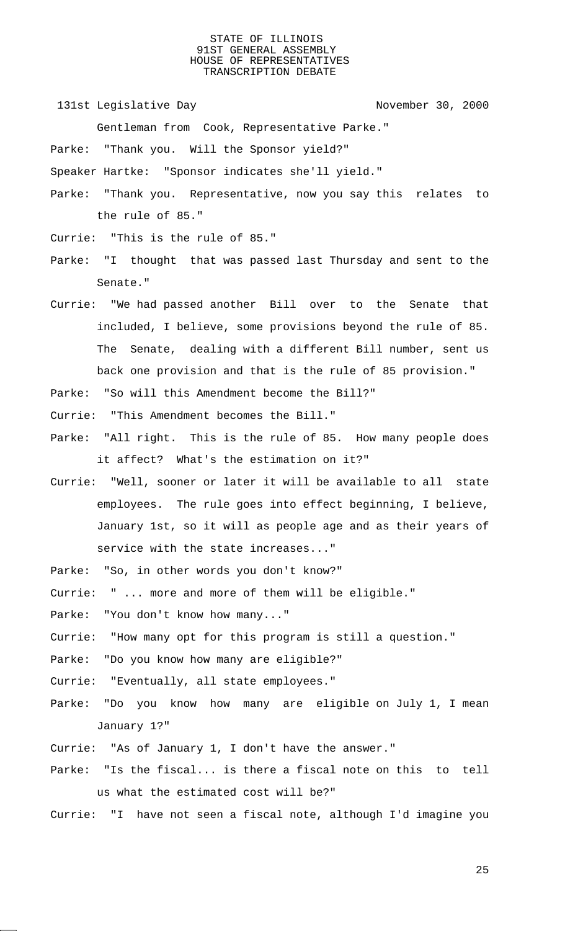131st Legislative Day 131st November 30, 2000

Gentleman from Cook, Representative Parke."

Parke: "Thank you. Will the Sponsor yield?"

Speaker Hartke: "Sponsor indicates she'll yield."

- Parke: "Thank you. Representative, now you say this relates to the rule of 85."
- Currie: "This is the rule of 85."
- Parke: "I thought that was passed last Thursday and sent to the Senate."
- Currie: "We had passed another Bill over to the Senate that included, I believe, some provisions beyond the rule of 85. The Senate, dealing with a different Bill number, sent us back one provision and that is the rule of 85 provision."
- Parke: "So will this Amendment become the Bill?"
- Currie: "This Amendment becomes the Bill."
- Parke: "All right. This is the rule of 85. How many people does it affect? What's the estimation on it?"
- Currie: "Well, sooner or later it will be available to all state employees. The rule goes into effect beginning, I believe, January 1st, so it will as people age and as their years of service with the state increases..."
- Parke: "So, in other words you don't know?"
- Currie: " ... more and more of them will be eligible."
- Parke: "You don't know how many..."
- Currie: "How many opt for this program is still a question."
- Parke: "Do you know how many are eligible?"
- Currie: "Eventually, all state employees."
- Parke: "Do you know how many are eligible on July 1, I mean January 1?"
- Currie: "As of January 1, I don't have the answer."
- Parke: "Is the fiscal... is there a fiscal note on this to tell us what the estimated cost will be?"
- Currie: "I have not seen a fiscal note, although I'd imagine you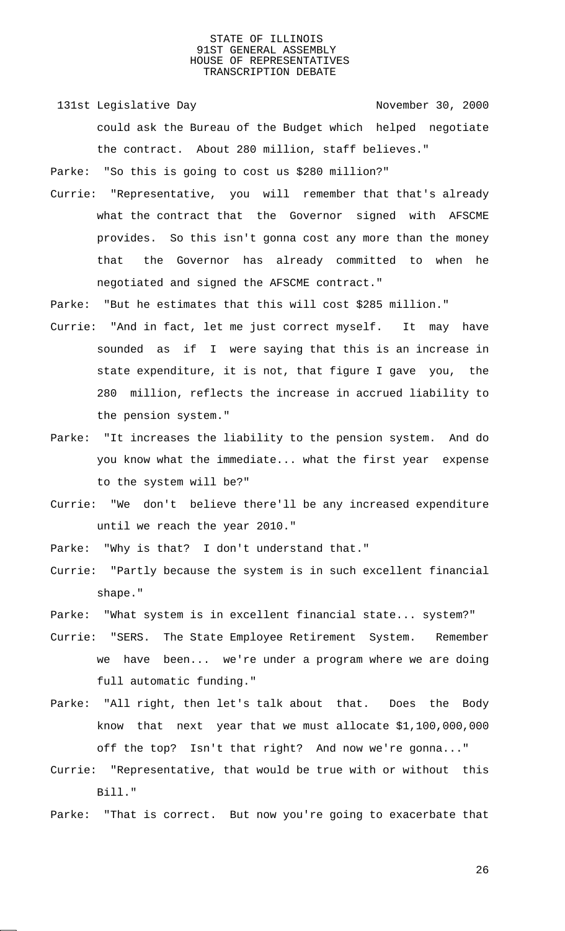131st Legislative Day 131st November 30, 2000 could ask the Bureau of the Budget which helped negotiate the contract. About 280 million, staff believes."

Parke: "So this is going to cost us \$280 million?"

Currie: "Representative, you will remember that that's already what the contract that the Governor signed with AFSCME provides. So this isn't gonna cost any more than the money that the Governor has already committed to when he negotiated and signed the AFSCME contract."

Parke: "But he estimates that this will cost \$285 million."

- Currie: "And in fact, let me just correct myself. It may have sounded as if I were saying that this is an increase in state expenditure, it is not, that figure I gave you, the 280 million, reflects the increase in accrued liability to the pension system."
- Parke: "It increases the liability to the pension system. And do you know what the immediate... what the first year expense to the system will be?"
- Currie: "We don't believe there'll be any increased expenditure until we reach the year 2010."
- Parke: "Why is that? I don't understand that."
- Currie: "Partly because the system is in such excellent financial shape."
- Parke: "What system is in excellent financial state... system?"
- Currie: "SERS. The State Employee Retirement System. Remember we have been... we're under a program where we are doing full automatic funding."
- Parke: "All right, then let's talk about that. Does the Body know that next year that we must allocate \$1,100,000,000 off the top? Isn't that right? And now we're gonna..."
- Currie: "Representative, that would be true with or without this Bill."
- Parke: "That is correct. But now you're going to exacerbate that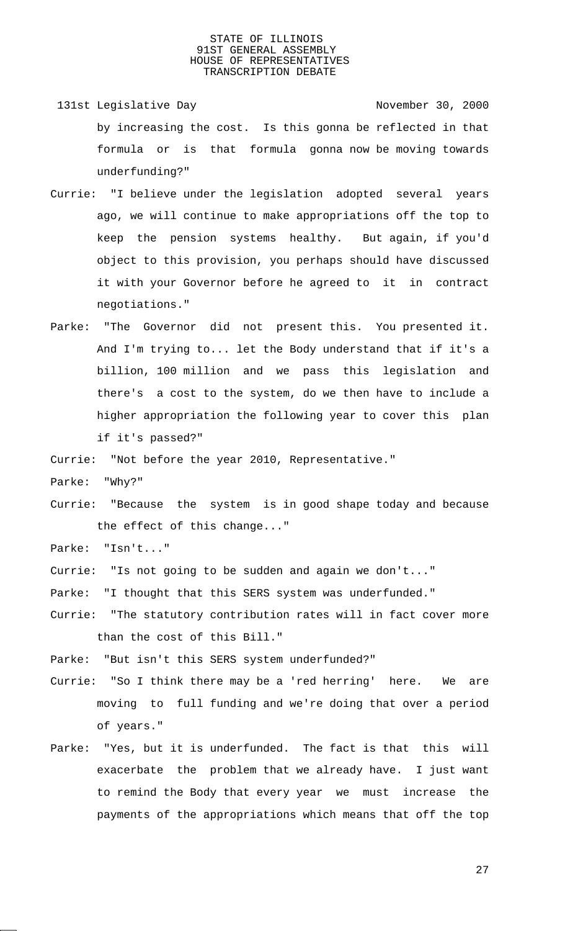- 131st Legislative Day 131st November 30, 2000 by increasing the cost. Is this gonna be reflected in that formula or is that formula gonna now be moving towards underfunding?"
- Currie: "I believe under the legislation adopted several years ago, we will continue to make appropriations off the top to keep the pension systems healthy. But again, if you'd object to this provision, you perhaps should have discussed it with your Governor before he agreed to it in contract negotiations."
- Parke: "The Governor did not present this. You presented it. And I'm trying to... let the Body understand that if it's a billion, 100 million and we pass this legislation and there's a cost to the system, do we then have to include a higher appropriation the following year to cover this plan if it's passed?"

Currie: "Not before the year 2010, Representative."

Parke: "Why?"

Currie: "Because the system is in good shape today and because the effect of this change..."

Parke: "Isn't..."

- Currie: "Is not going to be sudden and again we don't..."
- Parke: "I thought that this SERS system was underfunded."
- Currie: "The statutory contribution rates will in fact cover more than the cost of this Bill."

Parke: "But isn't this SERS system underfunded?"

- Currie: "So I think there may be a 'red herring' here. We are moving to full funding and we're doing that over a period of years."
- Parke: "Yes, but it is underfunded. The fact is that this will exacerbate the problem that we already have. I just want to remind the Body that every year we must increase the payments of the appropriations which means that off the top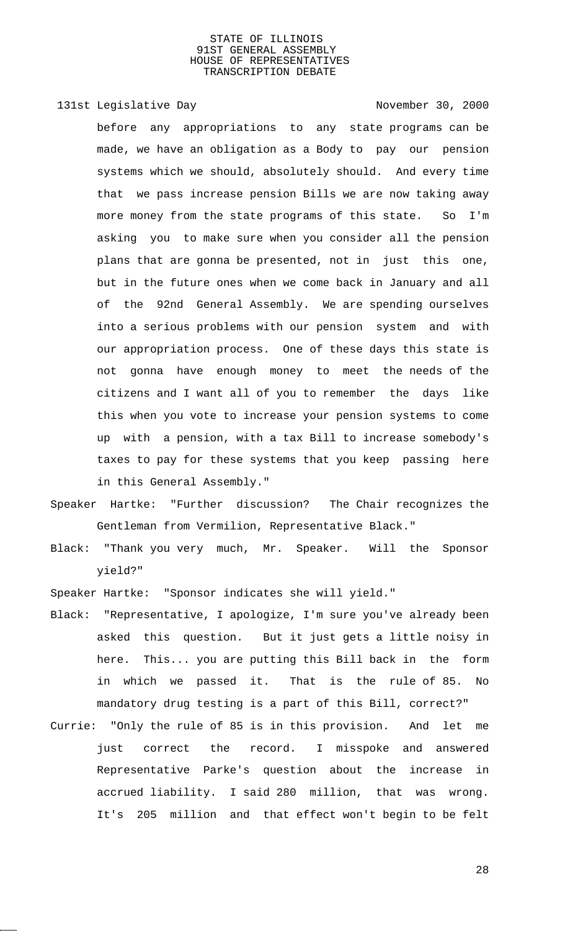# 131st Legislative Day 131st November 30, 2000

before any appropriations to any state programs can be made, we have an obligation as a Body to pay our pension systems which we should, absolutely should. And every time that we pass increase pension Bills we are now taking away more money from the state programs of this state. So I'm asking you to make sure when you consider all the pension plans that are gonna be presented, not in just this one, but in the future ones when we come back in January and all of the 92nd General Assembly. We are spending ourselves into a serious problems with our pension system and with our appropriation process. One of these days this state is not gonna have enough money to meet the needs of the citizens and I want all of you to remember the days like this when you vote to increase your pension systems to come up with a pension, with a tax Bill to increase somebody's taxes to pay for these systems that you keep passing here in this General Assembly."

- Speaker Hartke: "Further discussion? The Chair recognizes the Gentleman from Vermilion, Representative Black."
- Black: "Thank you very much, Mr. Speaker. Will the Sponsor yield?"

Speaker Hartke: "Sponsor indicates she will yield."

- Black: "Representative, I apologize, I'm sure you've already been asked this question. But it just gets a little noisy in here. This... you are putting this Bill back in the form in which we passed it. That is the rule of 85. No mandatory drug testing is a part of this Bill, correct?"
- Currie: "Only the rule of 85 is in this provision. And let me just correct the record. I misspoke and answered Representative Parke's question about the increase in accrued liability. I said 280 million, that was wrong. It's 205 million and that effect won't begin to be felt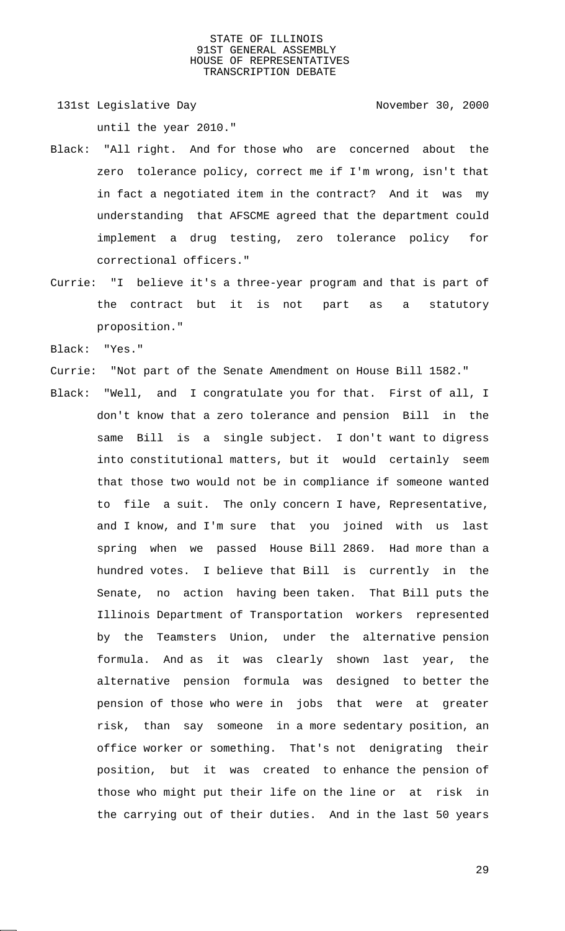131st Legislative Day 131st November 30, 2000 until the year 2010."

- Black: "All right. And for those who are concerned about the zero tolerance policy, correct me if I'm wrong, isn't that in fact a negotiated item in the contract? And it was my understanding that AFSCME agreed that the department could implement a drug testing, zero tolerance policy for correctional officers."
- Currie: "I believe it's a three-year program and that is part of the contract but it is not part as a statutory proposition."
- Black: "Yes."
- Currie: "Not part of the Senate Amendment on House Bill 1582."
- Black: "Well, and I congratulate you for that. First of all, I don't know that a zero tolerance and pension Bill in the same Bill is a single subject. I don't want to digress into constitutional matters, but it would certainly seem that those two would not be in compliance if someone wanted to file a suit. The only concern I have, Representative, and I know, and I'm sure that you joined with us last spring when we passed House Bill 2869. Had more than a hundred votes. I believe that Bill is currently in the Senate, no action having been taken. That Bill puts the Illinois Department of Transportation workers represented by the Teamsters Union, under the alternative pension formula. And as it was clearly shown last year, the alternative pension formula was designed to better the pension of those who were in jobs that were at greater risk, than say someone in a more sedentary position, an office worker or something. That's not denigrating their position, but it was created to enhance the pension of those who might put their life on the line or at risk in the carrying out of their duties. And in the last 50 years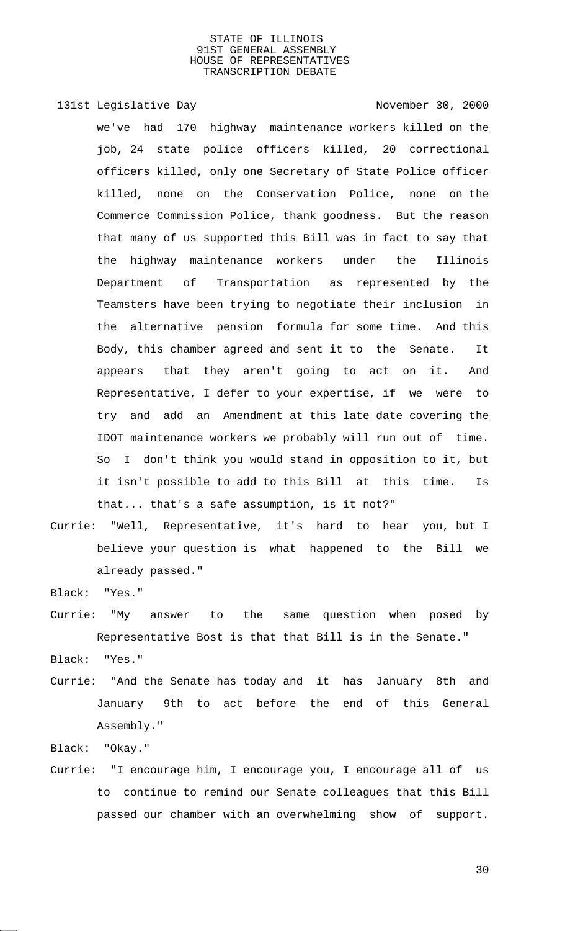131st Legislative Day 131st November 30, 2000

we've had 170 highway maintenance workers killed on the job, 24 state police officers killed, 20 correctional officers killed, only one Secretary of State Police officer killed, none on the Conservation Police, none on the Commerce Commission Police, thank goodness. But the reason that many of us supported this Bill was in fact to say that the highway maintenance workers under the Illinois Department of Transportation as represented by the Teamsters have been trying to negotiate their inclusion in the alternative pension formula for some time. And this Body, this chamber agreed and sent it to the Senate. It appears that they aren't going to act on it. And Representative, I defer to your expertise, if we were to try and add an Amendment at this late date covering the IDOT maintenance workers we probably will run out of time. So I don't think you would stand in opposition to it, but it isn't possible to add to this Bill at this time. Is that... that's a safe assumption, is it not?"

Currie: "Well, Representative, it's hard to hear you, but I believe your question is what happened to the Bill we already passed."

Black: "Yes."

Currie: "My answer to the same question when posed by Representative Bost is that that Bill is in the Senate."

Black: "Yes."

Currie: "And the Senate has today and it has January 8th and January 9th to act before the end of this General Assembly."

Black: "Okay."

Currie: "I encourage him, I encourage you, I encourage all of us to continue to remind our Senate colleagues that this Bill passed our chamber with an overwhelming show of support.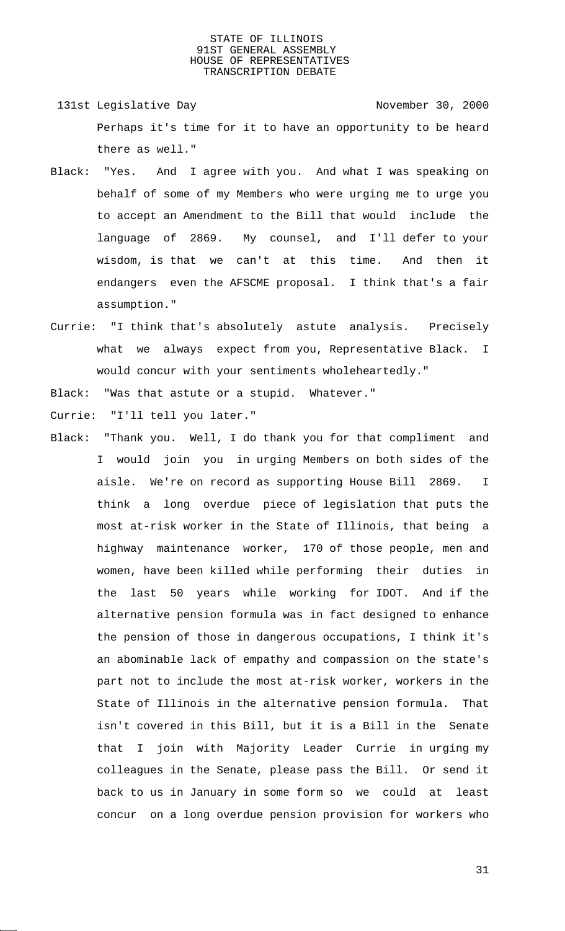- 131st Legislative Day 131st November 30, 2000 Perhaps it's time for it to have an opportunity to be heard there as well."
- Black: "Yes. And I agree with you. And what I was speaking on behalf of some of my Members who were urging me to urge you to accept an Amendment to the Bill that would include the language of 2869. My counsel, and I'll defer to your wisdom, is that we can't at this time. And then it endangers even the AFSCME proposal. I think that's a fair assumption."
- Currie: "I think that's absolutely astute analysis. Precisely what we always expect from you, Representative Black. I would concur with your sentiments wholeheartedly."

Black: "Was that astute or a stupid. Whatever."

Currie: "I'll tell you later."

Black: "Thank you. Well, I do thank you for that compliment and I would join you in urging Members on both sides of the aisle. We're on record as supporting House Bill 2869. I think a long overdue piece of legislation that puts the most at-risk worker in the State of Illinois, that being a highway maintenance worker, 170 of those people, men and women, have been killed while performing their duties in the last 50 years while working for IDOT. And if the alternative pension formula was in fact designed to enhance the pension of those in dangerous occupations, I think it's an abominable lack of empathy and compassion on the state's part not to include the most at-risk worker, workers in the State of Illinois in the alternative pension formula. That isn't covered in this Bill, but it is a Bill in the Senate that I join with Majority Leader Currie in urging my colleagues in the Senate, please pass the Bill. Or send it back to us in January in some form so we could at least concur on a long overdue pension provision for workers who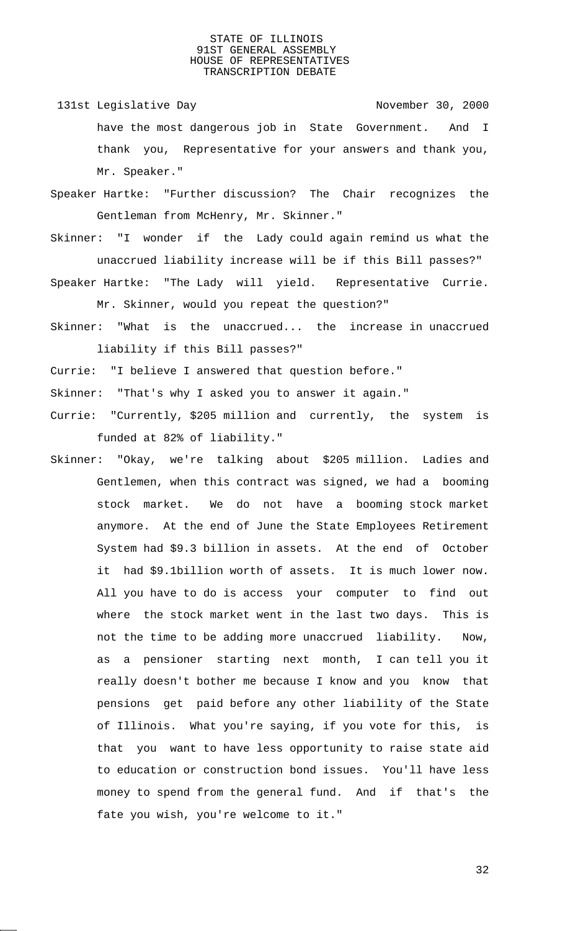- 131st Legislative Day 131st November 30, 2000 have the most dangerous job in State Government. And I thank you, Representative for your answers and thank you, Mr. Speaker."
- Speaker Hartke: "Further discussion? The Chair recognizes the Gentleman from McHenry, Mr. Skinner."
- Skinner: "I wonder if the Lady could again remind us what the unaccrued liability increase will be if this Bill passes?"
- Speaker Hartke: "The Lady will yield. Representative Currie. Mr. Skinner, would you repeat the question?"
- Skinner: "What is the unaccrued... the increase in unaccrued liability if this Bill passes?"
- Currie: "I believe I answered that question before."
- Skinner: "That's why I asked you to answer it again."
- Currie: "Currently, \$205 million and currently, the system is funded at 82% of liability."
- Skinner: "Okay, we're talking about \$205 million. Ladies and Gentlemen, when this contract was signed, we had a booming stock market. We do not have a booming stock market anymore. At the end of June the State Employees Retirement System had \$9.3 billion in assets. At the end of October it had \$9.1billion worth of assets. It is much lower now. All you have to do is access your computer to find out where the stock market went in the last two days. This is not the time to be adding more unaccrued liability. Now, as a pensioner starting next month, I can tell you it really doesn't bother me because I know and you know that pensions get paid before any other liability of the State of Illinois. What you're saying, if you vote for this, is that you want to have less opportunity to raise state aid to education or construction bond issues. You'll have less money to spend from the general fund. And if that's the fate you wish, you're welcome to it."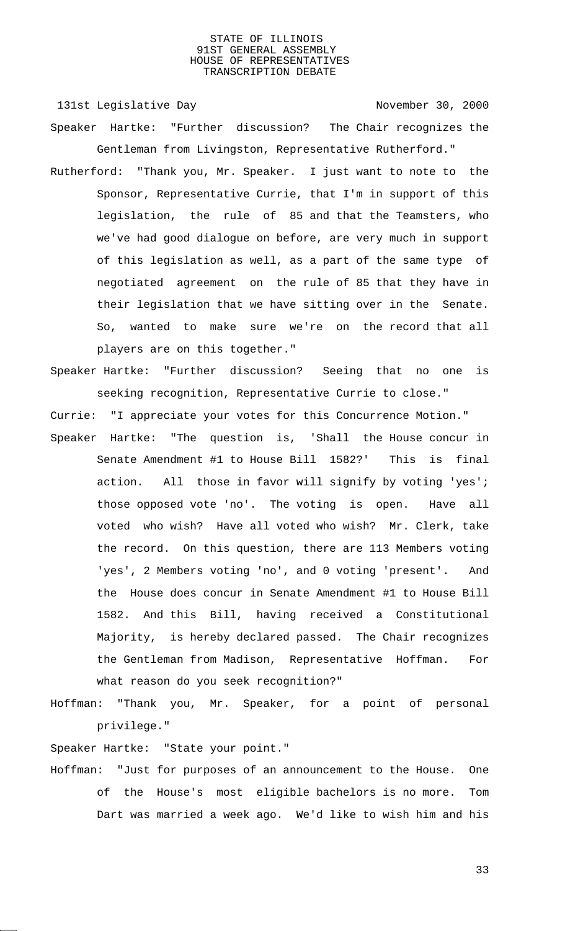131st Legislative Day 131st Company 131st Legislative Day Speaker Hartke: "Further discussion? The Chair recognizes the

Rutherford: "Thank you, Mr. Speaker. I just want to note to the Sponsor, Representative Currie, that I'm in support of this legislation, the rule of 85 and that the Teamsters, who we've had good dialogue on before, are very much in support of this legislation as well, as a part of the same type of negotiated agreement on the rule of 85 that they have in their legislation that we have sitting over in the Senate. So, wanted to make sure we're on the record that all players are on this together."

Gentleman from Livingston, Representative Rutherford."

Speaker Hartke: "Further discussion? Seeing that no one is seeking recognition, Representative Currie to close."

Currie: "I appreciate your votes for this Concurrence Motion."

- Speaker Hartke: "The question is, 'Shall the House concur in Senate Amendment #1 to House Bill 1582?' This is final action. All those in favor will signify by voting 'yes'; those opposed vote 'no'. The voting is open. Have all voted who wish? Have all voted who wish? Mr. Clerk, take the record. On this question, there are 113 Members voting 'yes', 2 Members voting 'no', and 0 voting 'present'. And the House does concur in Senate Amendment #1 to House Bill 1582. And this Bill, having received a Constitutional Majority, is hereby declared passed. The Chair recognizes the Gentleman from Madison, Representative Hoffman. For what reason do you seek recognition?"
- Hoffman: "Thank you, Mr. Speaker, for a point of personal privilege."

Speaker Hartke: "State your point."

Hoffman: "Just for purposes of an announcement to the House. One of the House's most eligible bachelors is no more. Tom Dart was married a week ago. We'd like to wish him and his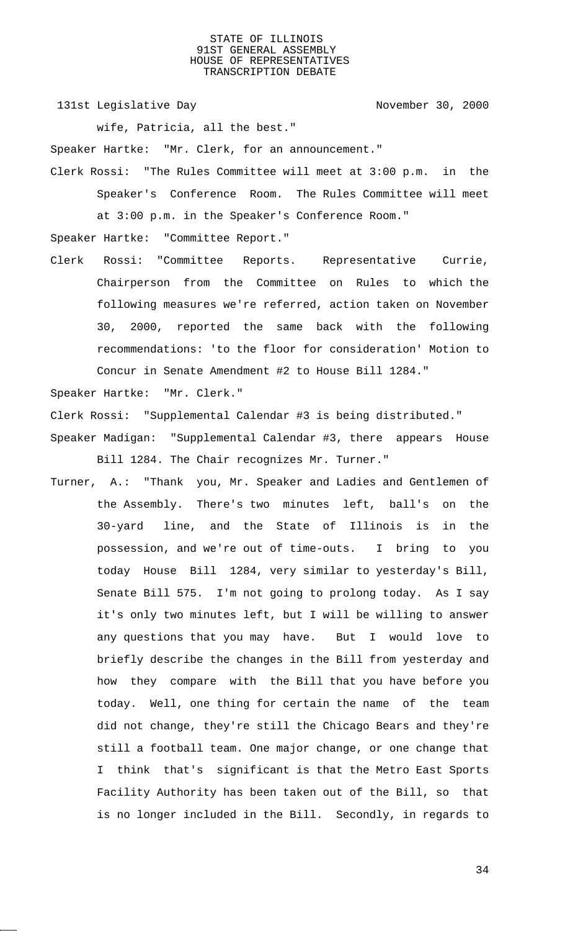131st Legislative Day 131st November 30, 2000

wife, Patricia, all the best."

Speaker Hartke: "Mr. Clerk, for an announcement."

Clerk Rossi: "The Rules Committee will meet at 3:00 p.m. in the Speaker's Conference Room. The Rules Committee will meet at 3:00 p.m. in the Speaker's Conference Room."

Speaker Hartke: "Committee Report."

Clerk Rossi: "Committee Reports. Representative Currie, Chairperson from the Committee on Rules to which the following measures we're referred, action taken on November 30, 2000, reported the same back with the following recommendations: 'to the floor for consideration' Motion to Concur in Senate Amendment #2 to House Bill 1284."

Speaker Hartke: "Mr. Clerk."

Clerk Rossi: "Supplemental Calendar #3 is being distributed."

- Speaker Madigan: "Supplemental Calendar #3, there appears House Bill 1284. The Chair recognizes Mr. Turner."
- Turner, A.: "Thank you, Mr. Speaker and Ladies and Gentlemen of the Assembly. There's two minutes left, ball's on the 30-yard line, and the State of Illinois is in the possession, and we're out of time-outs. I bring to you today House Bill 1284, very similar to yesterday's Bill, Senate Bill 575. I'm not going to prolong today. As I say it's only two minutes left, but I will be willing to answer any questions that you may have. But I would love to briefly describe the changes in the Bill from yesterday and how they compare with the Bill that you have before you today. Well, one thing for certain the name of the team did not change, they're still the Chicago Bears and they're still a football team. One major change, or one change that I think that's significant is that the Metro East Sports Facility Authority has been taken out of the Bill, so that is no longer included in the Bill. Secondly, in regards to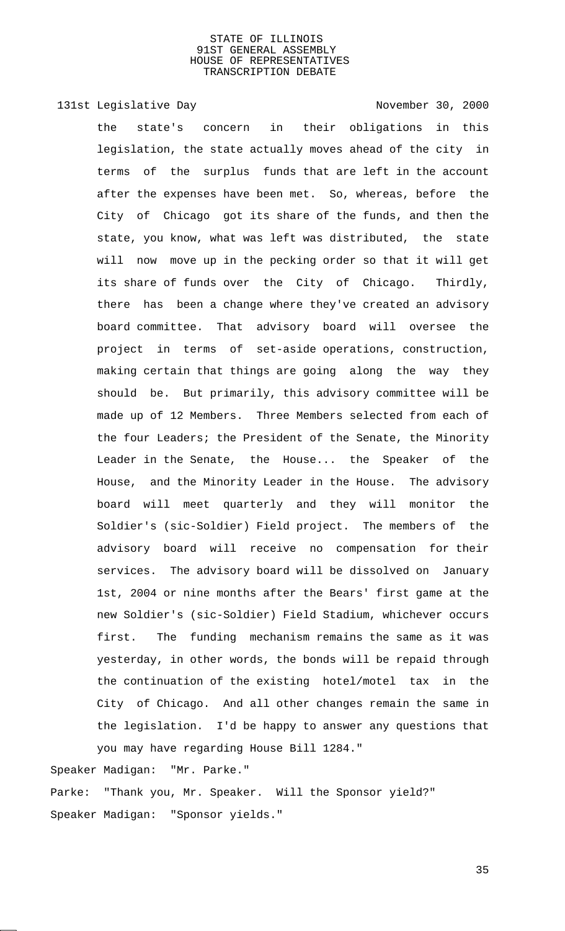131st Legislative Day 131st Company 131st Legislative Day

the state's concern in their obligations in this legislation, the state actually moves ahead of the city in terms of the surplus funds that are left in the account after the expenses have been met. So, whereas, before the City of Chicago got its share of the funds, and then the state, you know, what was left was distributed, the state will now move up in the pecking order so that it will get its share of funds over the City of Chicago. Thirdly, there has been a change where they've created an advisory board committee. That advisory board will oversee the project in terms of set-aside operations, construction, making certain that things are going along the way they should be. But primarily, this advisory committee will be made up of 12 Members. Three Members selected from each of the four Leaders; the President of the Senate, the Minority Leader in the Senate, the House... the Speaker of the House, and the Minority Leader in the House. The advisory board will meet quarterly and they will monitor the Soldier's (sic-Soldier) Field project. The members of the advisory board will receive no compensation for their services. The advisory board will be dissolved on January 1st, 2004 or nine months after the Bears' first game at the new Soldier's (sic-Soldier) Field Stadium, whichever occurs first. The funding mechanism remains the same as it was yesterday, in other words, the bonds will be repaid through the continuation of the existing hotel/motel tax in the City of Chicago. And all other changes remain the same in the legislation. I'd be happy to answer any questions that you may have regarding House Bill 1284."

Speaker Madigan: "Mr. Parke."

Parke: "Thank you, Mr. Speaker. Will the Sponsor yield?" Speaker Madigan: "Sponsor yields."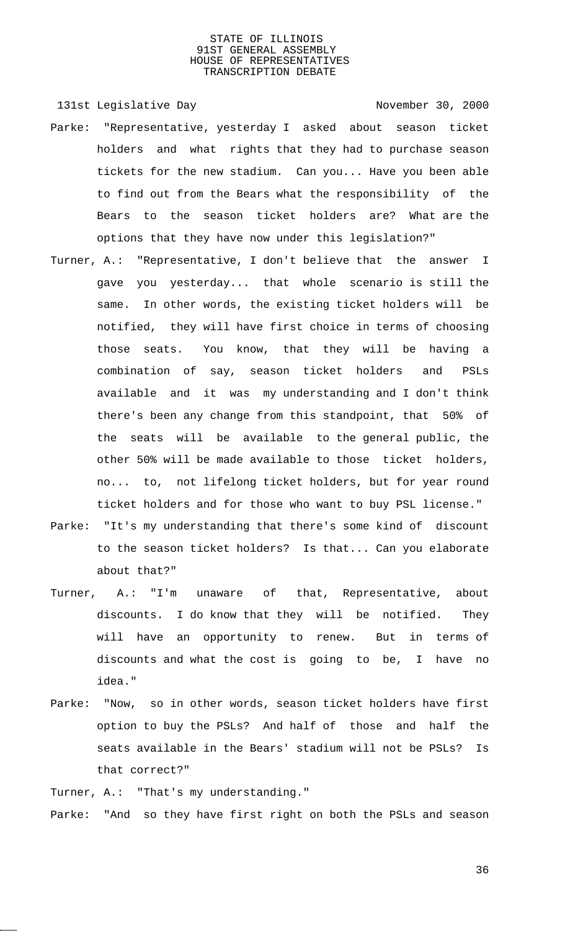131st Legislative Day 131st November 30, 2000

- Parke: "Representative, yesterday I asked about season ticket holders and what rights that they had to purchase season tickets for the new stadium. Can you... Have you been able to find out from the Bears what the responsibility of the Bears to the season ticket holders are? What are the options that they have now under this legislation?"
- Turner, A.: "Representative, I don't believe that the answer I gave you yesterday... that whole scenario is still the same. In other words, the existing ticket holders will be notified, they will have first choice in terms of choosing those seats. You know, that they will be having a combination of say, season ticket holders and PSLs available and it was my understanding and I don't think there's been any change from this standpoint, that 50% of the seats will be available to the general public, the other 50% will be made available to those ticket holders, no... to, not lifelong ticket holders, but for year round ticket holders and for those who want to buy PSL license."
- Parke: "It's my understanding that there's some kind of discount to the season ticket holders? Is that... Can you elaborate about that?"
- Turner, A.: "I'm unaware of that, Representative, about discounts. I do know that they will be notified. They will have an opportunity to renew. But in terms of discounts and what the cost is going to be, I have no idea."
- Parke: "Now, so in other words, season ticket holders have first option to buy the PSLs? And half of those and half the seats available in the Bears' stadium will not be PSLs? Is that correct?"

Turner, A.: "That's my understanding."

Parke: "And so they have first right on both the PSLs and season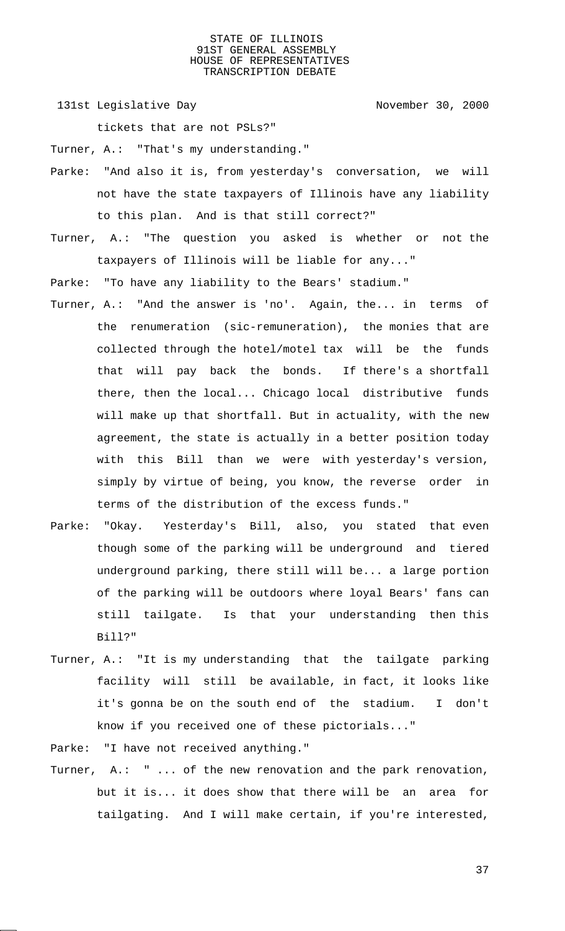131st Legislative Day 131st November 30, 2000

tickets that are not PSLs?"

Turner, A.: "That's my understanding."

- Parke: "And also it is, from yesterday's conversation, we will not have the state taxpayers of Illinois have any liability to this plan. And is that still correct?"
- Turner, A.: "The question you asked is whether or not the taxpayers of Illinois will be liable for any..."

Parke: "To have any liability to the Bears' stadium."

- Turner, A.: "And the answer is 'no'. Again, the... in terms of the renumeration (sic-remuneration), the monies that are collected through the hotel/motel tax will be the funds that will pay back the bonds. If there's a shortfall there, then the local... Chicago local distributive funds will make up that shortfall. But in actuality, with the new agreement, the state is actually in a better position today with this Bill than we were with yesterday's version, simply by virtue of being, you know, the reverse order in terms of the distribution of the excess funds."
- Parke: "Okay. Yesterday's Bill, also, you stated that even though some of the parking will be underground and tiered underground parking, there still will be... a large portion of the parking will be outdoors where loyal Bears' fans can still tailgate. Is that your understanding then this Bill?"
- Turner, A.: "It is my understanding that the tailgate parking facility will still be available, in fact, it looks like it's gonna be on the south end of the stadium. I don't know if you received one of these pictorials..."
- Parke: "I have not received anything."
- Turner, A.: " ... of the new renovation and the park renovation, but it is... it does show that there will be an area for tailgating. And I will make certain, if you're interested,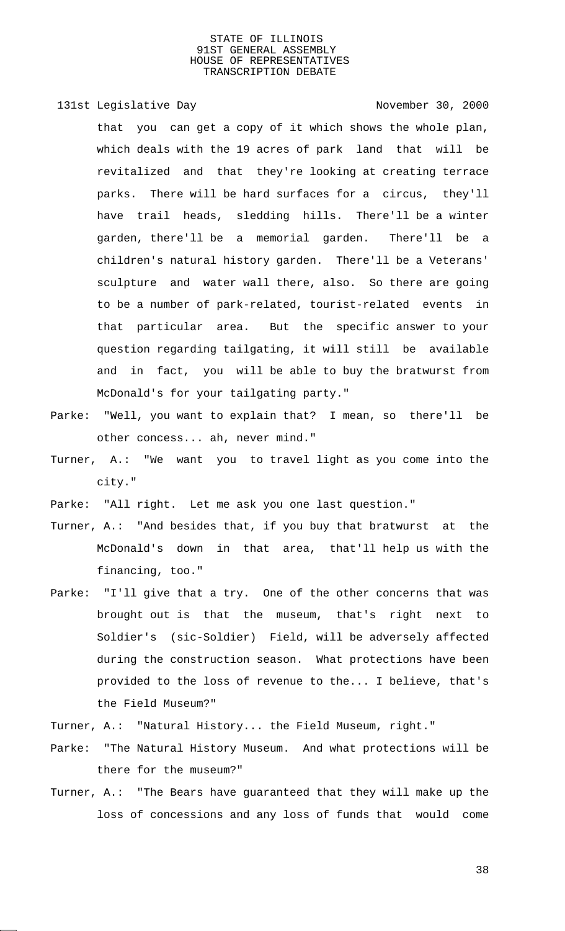131st Legislative Day 131st November 30, 2000

that you can get a copy of it which shows the whole plan, which deals with the 19 acres of park land that will be revitalized and that they're looking at creating terrace parks. There will be hard surfaces for a circus, they'll have trail heads, sledding hills. There'll be a winter garden, there'll be a memorial garden. There'll be a children's natural history garden. There'll be a Veterans' sculpture and water wall there, also. So there are going to be a number of park-related, tourist-related events in that particular area. But the specific answer to your question regarding tailgating, it will still be available and in fact, you will be able to buy the bratwurst from McDonald's for your tailgating party."

- Parke: "Well, you want to explain that? I mean, so there'll be other concess... ah, never mind."
- Turner, A.: "We want you to travel light as you come into the city."

Parke: "All right. Let me ask you one last question."

- Turner, A.: "And besides that, if you buy that bratwurst at the McDonald's down in that area, that'll help us with the financing, too."
- Parke: "I'll give that a try. One of the other concerns that was brought out is that the museum, that's right next to Soldier's (sic-Soldier) Field, will be adversely affected during the construction season. What protections have been provided to the loss of revenue to the... I believe, that's the Field Museum?"
- Turner, A.: "Natural History... the Field Museum, right."
- Parke: "The Natural History Museum. And what protections will be there for the museum?"
- Turner, A.: "The Bears have guaranteed that they will make up the loss of concessions and any loss of funds that would come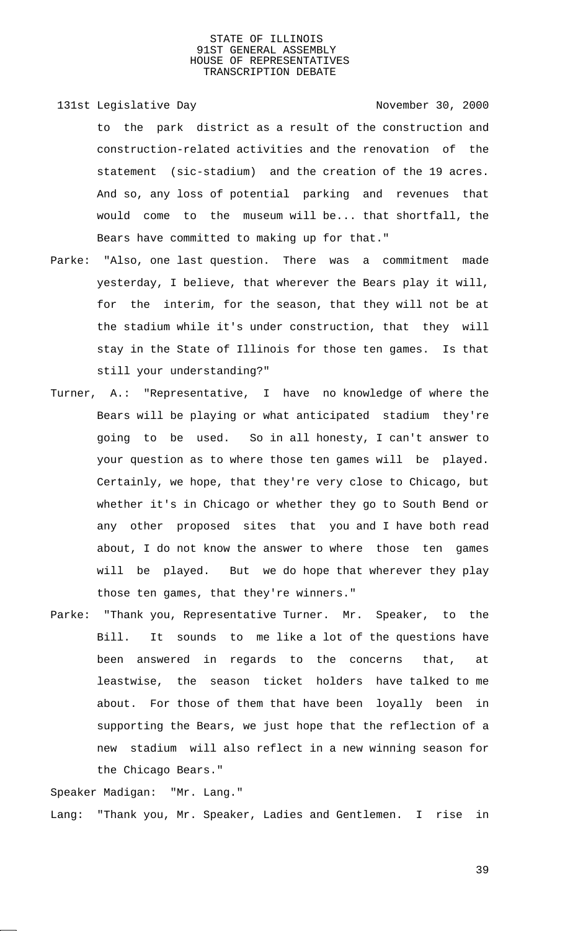- 131st Legislative Day 131st November 30, 2000 to the park district as a result of the construction and construction-related activities and the renovation of the statement (sic-stadium) and the creation of the 19 acres. And so, any loss of potential parking and revenues that would come to the museum will be... that shortfall, the Bears have committed to making up for that."
- Parke: "Also, one last question. There was a commitment made yesterday, I believe, that wherever the Bears play it will, for the interim, for the season, that they will not be at the stadium while it's under construction, that they will stay in the State of Illinois for those ten games. Is that still your understanding?"
- Turner, A.: "Representative, I have no knowledge of where the Bears will be playing or what anticipated stadium they're going to be used. So in all honesty, I can't answer to your question as to where those ten games will be played. Certainly, we hope, that they're very close to Chicago, but whether it's in Chicago or whether they go to South Bend or any other proposed sites that you and I have both read about, I do not know the answer to where those ten games will be played. But we do hope that wherever they play those ten games, that they're winners."
- Parke: "Thank you, Representative Turner. Mr. Speaker, to the Bill. It sounds to me like a lot of the questions have been answered in regards to the concerns that, at leastwise, the season ticket holders have talked to me about. For those of them that have been loyally been in supporting the Bears, we just hope that the reflection of a new stadium will also reflect in a new winning season for the Chicago Bears."

Speaker Madigan: "Mr. Lang." Lang: "Thank you, Mr. Speaker, Ladies and Gentlemen. I rise in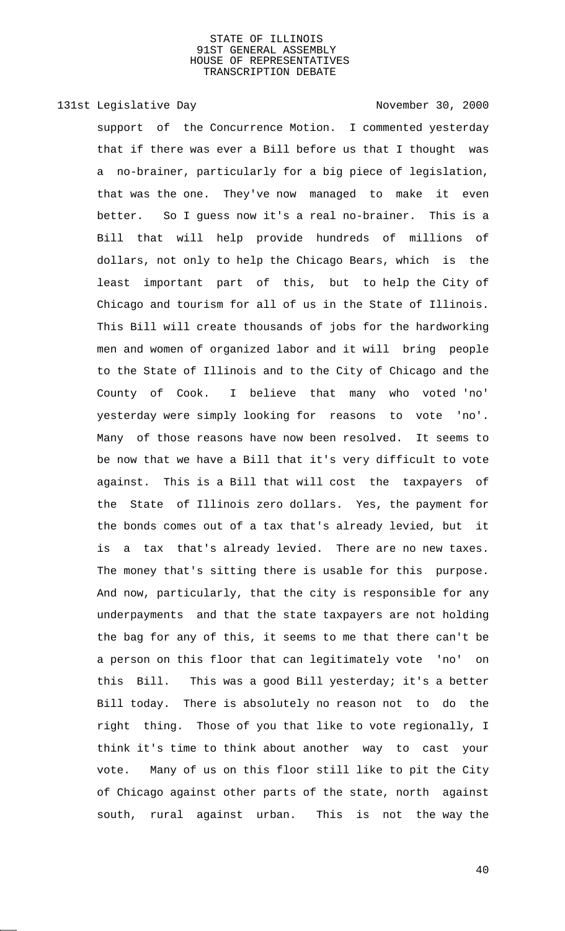# 131st Legislative Day 131st November 30, 2000

support of the Concurrence Motion. I commented yesterday that if there was ever a Bill before us that I thought was a no-brainer, particularly for a big piece of legislation, that was the one. They've now managed to make it even better. So I guess now it's a real no-brainer. This is a Bill that will help provide hundreds of millions of dollars, not only to help the Chicago Bears, which is the least important part of this, but to help the City of Chicago and tourism for all of us in the State of Illinois. This Bill will create thousands of jobs for the hardworking men and women of organized labor and it will bring people to the State of Illinois and to the City of Chicago and the County of Cook. I believe that many who voted 'no' yesterday were simply looking for reasons to vote 'no'. Many of those reasons have now been resolved. It seems to be now that we have a Bill that it's very difficult to vote against. This is a Bill that will cost the taxpayers of the State of Illinois zero dollars. Yes, the payment for the bonds comes out of a tax that's already levied, but it is a tax that's already levied. There are no new taxes. The money that's sitting there is usable for this purpose. And now, particularly, that the city is responsible for any underpayments and that the state taxpayers are not holding the bag for any of this, it seems to me that there can't be a person on this floor that can legitimately vote 'no' on this Bill. This was a good Bill yesterday; it's a better Bill today. There is absolutely no reason not to do the right thing. Those of you that like to vote regionally, I think it's time to think about another way to cast your vote. Many of us on this floor still like to pit the City of Chicago against other parts of the state, north against south, rural against urban. This is not the way the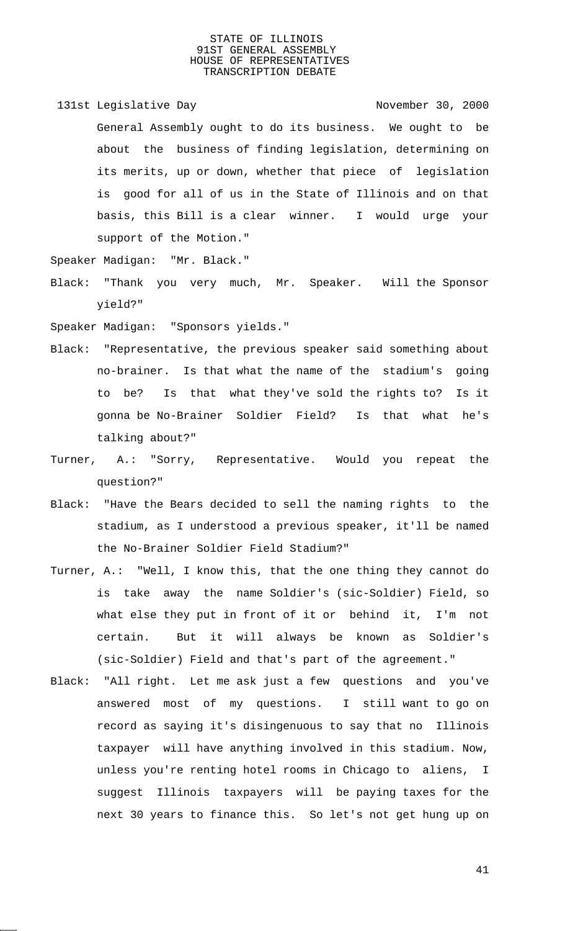131st Legislative Day 131st November 30, 2000 General Assembly ought to do its business. We ought to be about the business of finding legislation, determining on its merits, up or down, whether that piece of legislation is good for all of us in the State of Illinois and on that basis, this Bill is a clear winner. I would urge your support of the Motion."

Speaker Madigan: "Mr. Black."

Black: "Thank you very much, Mr. Speaker. Will the Sponsor yield?"

Speaker Madigan: "Sponsors yields."

- Black: "Representative, the previous speaker said something about no-brainer. Is that what the name of the stadium's going to be? Is that what they've sold the rights to? Is it gonna be No-Brainer Soldier Field? Is that what he's talking about?"
- Turner, A.: "Sorry, Representative. Would you repeat the question?"
- Black: "Have the Bears decided to sell the naming rights to the stadium, as I understood a previous speaker, it'll be named the No-Brainer Soldier Field Stadium?"
- Turner, A.: "Well, I know this, that the one thing they cannot do is take away the name Soldier's (sic-Soldier) Field, so what else they put in front of it or behind it, I'm not certain. But it will always be known as Soldier's (sic-Soldier) Field and that's part of the agreement."
- Black: "All right. Let me ask just a few questions and you've answered most of my questions. I still want to go on record as saying it's disingenuous to say that no Illinois taxpayer will have anything involved in this stadium. Now, unless you're renting hotel rooms in Chicago to aliens, I suggest Illinois taxpayers will be paying taxes for the next 30 years to finance this. So let's not get hung up on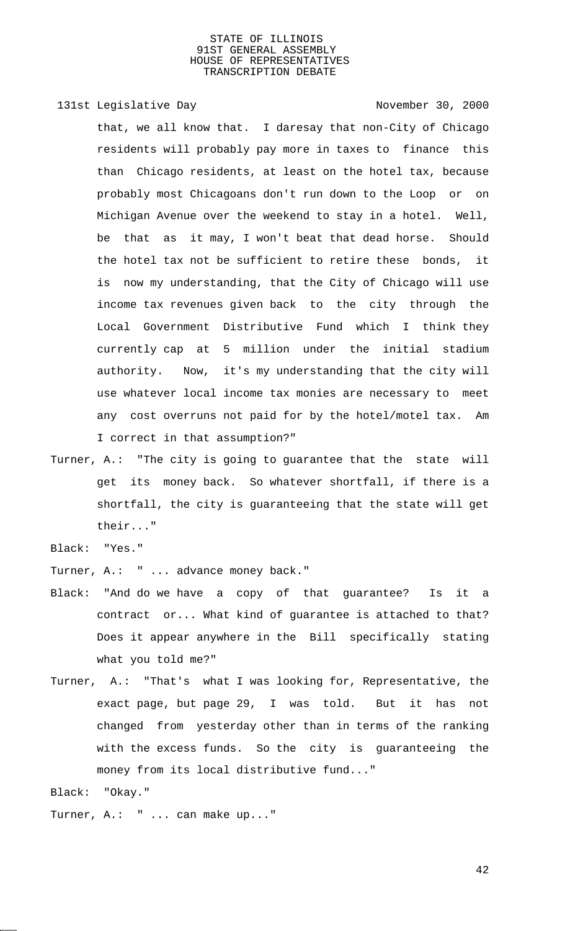131st Legislative Day 131st November 30, 2000 that, we all know that. I daresay that non-City of Chicago residents will probably pay more in taxes to finance this than Chicago residents, at least on the hotel tax, because probably most Chicagoans don't run down to the Loop or on Michigan Avenue over the weekend to stay in a hotel. Well, be that as it may, I won't beat that dead horse. Should the hotel tax not be sufficient to retire these bonds, it is now my understanding, that the City of Chicago will use income tax revenues given back to the city through the Local Government Distributive Fund which I think they currently cap at 5 million under the initial stadium authority. Now, it's my understanding that the city will use whatever local income tax monies are necessary to meet any cost overruns not paid for by the hotel/motel tax. Am I correct in that assumption?"

- Turner, A.: "The city is going to guarantee that the state will get its money back. So whatever shortfall, if there is a shortfall, the city is guaranteeing that the state will get their..."
- Black: "Yes."
- Turner, A.: " ... advance money back."
- Black: "And do we have a copy of that guarantee? Is it a contract or... What kind of guarantee is attached to that? Does it appear anywhere in the Bill specifically stating what you told me?"
- Turner, A.: "That's what I was looking for, Representative, the exact page, but page 29, I was told. But it has not changed from yesterday other than in terms of the ranking with the excess funds. So the city is guaranteeing the money from its local distributive fund..."

Black: "Okay."

Turner, A.: " ... can make up..."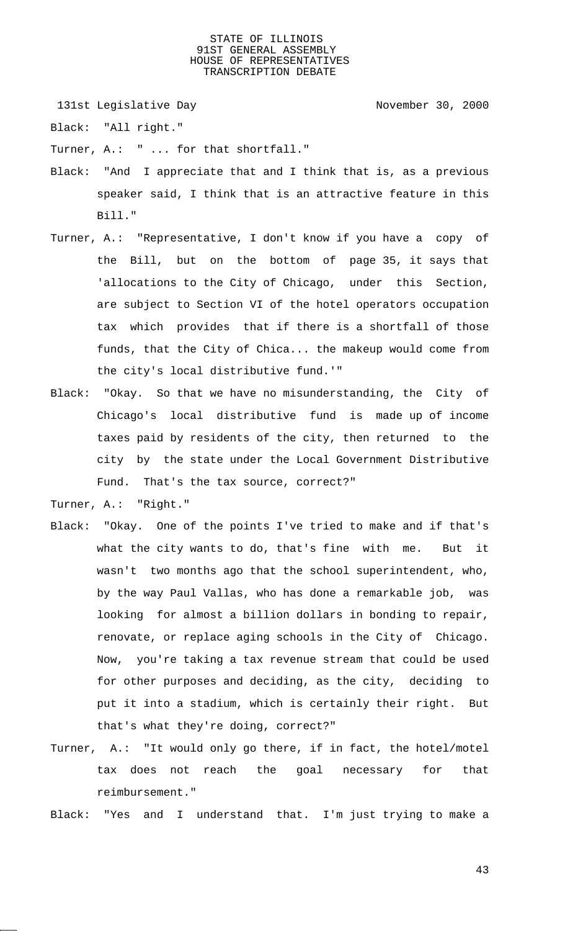131st Legislative Day 131st November 30, 2000

Black: "All right."

Turner, A.: " ... for that shortfall."

- Black: "And I appreciate that and I think that is, as a previous speaker said, I think that is an attractive feature in this Bill."
- Turner, A.: "Representative, I don't know if you have a copy of the Bill, but on the bottom of page 35, it says that 'allocations to the City of Chicago, under this Section, are subject to Section VI of the hotel operators occupation tax which provides that if there is a shortfall of those funds, that the City of Chica... the makeup would come from the city's local distributive fund.'"
- Black: "Okay. So that we have no misunderstanding, the City of Chicago's local distributive fund is made up of income taxes paid by residents of the city, then returned to the city by the state under the Local Government Distributive Fund. That's the tax source, correct?"

Turner, A.: "Right."

- Black: "Okay. One of the points I've tried to make and if that's what the city wants to do, that's fine with me. But it wasn't two months ago that the school superintendent, who, by the way Paul Vallas, who has done a remarkable job, was looking for almost a billion dollars in bonding to repair, renovate, or replace aging schools in the City of Chicago. Now, you're taking a tax revenue stream that could be used for other purposes and deciding, as the city, deciding to put it into a stadium, which is certainly their right. But that's what they're doing, correct?"
- Turner, A.: "It would only go there, if in fact, the hotel/motel tax does not reach the goal necessary for that reimbursement."

Black: "Yes and I understand that. I'm just trying to make a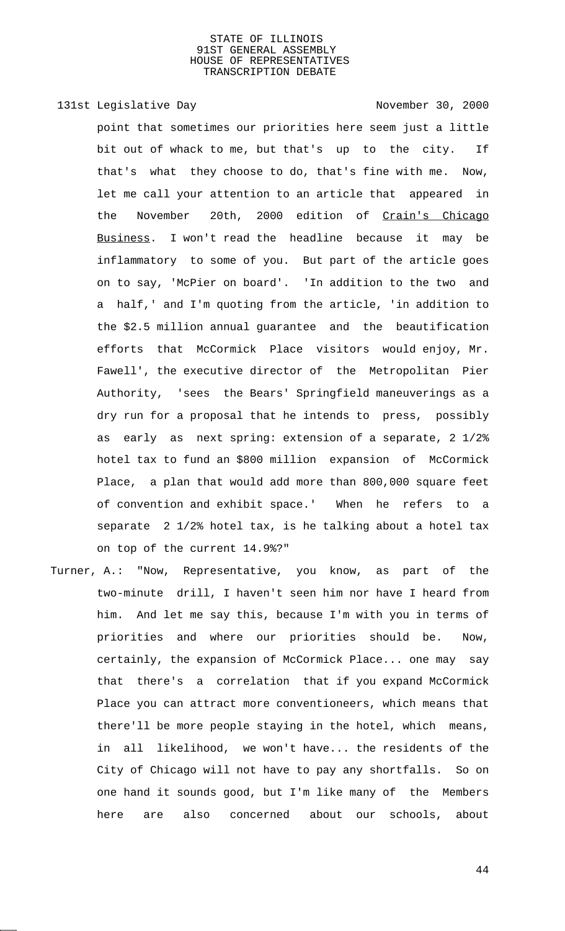# 131st Legislative Day 131st November 30, 2000

point that sometimes our priorities here seem just a little bit out of whack to me, but that's up to the city. If that's what they choose to do, that's fine with me. Now, let me call your attention to an article that appeared in the November 20th, 2000 edition of Crain's Chicago Business. I won't read the headline because it may be inflammatory to some of you. But part of the article goes on to say, 'McPier on board'. 'In addition to the two and a half,' and I'm quoting from the article, 'in addition to the \$2.5 million annual guarantee and the beautification efforts that McCormick Place visitors would enjoy, Mr. Fawell', the executive director of the Metropolitan Pier Authority, 'sees the Bears' Springfield maneuverings as a dry run for a proposal that he intends to press, possibly as early as next spring: extension of a separate, 2 1/2% hotel tax to fund an \$800 million expansion of McCormick Place, a plan that would add more than 800,000 square feet of convention and exhibit space.' When he refers to a separate 2 1/2% hotel tax, is he talking about a hotel tax on top of the current 14.9%?"

Turner, A.: "Now, Representative, you know, as part of the two-minute drill, I haven't seen him nor have I heard from him. And let me say this, because I'm with you in terms of priorities and where our priorities should be. Now, certainly, the expansion of McCormick Place... one may say that there's a correlation that if you expand McCormick Place you can attract more conventioneers, which means that there'll be more people staying in the hotel, which means, in all likelihood, we won't have... the residents of the City of Chicago will not have to pay any shortfalls. So on one hand it sounds good, but I'm like many of the Members here are also concerned about our schools, about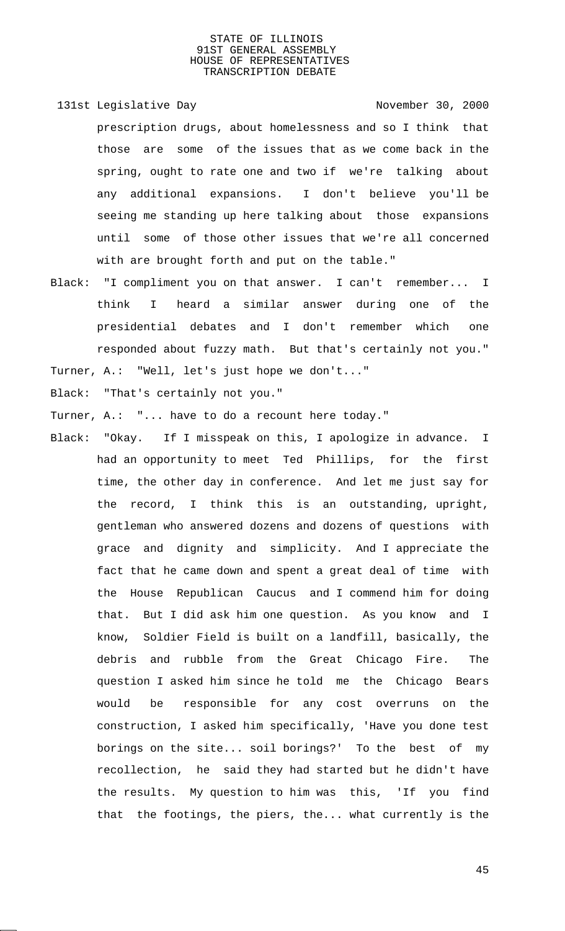- 131st Legislative Day 131st November 30, 2000 prescription drugs, about homelessness and so I think that those are some of the issues that as we come back in the spring, ought to rate one and two if we're talking about any additional expansions. I don't believe you'll be seeing me standing up here talking about those expansions until some of those other issues that we're all concerned with are brought forth and put on the table."
- Black: "I compliment you on that answer. I can't remember... I think I heard a similar answer during one of the presidential debates and I don't remember which one responded about fuzzy math. But that's certainly not you."

Turner, A.: "Well, let's just hope we don't..."

Black: "That's certainly not you."

Turner, A.: "... have to do a recount here today."

Black: "Okay. If I misspeak on this, I apologize in advance. I had an opportunity to meet Ted Phillips, for the first time, the other day in conference. And let me just say for the record, I think this is an outstanding, upright, gentleman who answered dozens and dozens of questions with grace and dignity and simplicity. And I appreciate the fact that he came down and spent a great deal of time with the House Republican Caucus and I commend him for doing that. But I did ask him one question. As you know and I know, Soldier Field is built on a landfill, basically, the debris and rubble from the Great Chicago Fire. The question I asked him since he told me the Chicago Bears would be responsible for any cost overruns on the construction, I asked him specifically, 'Have you done test borings on the site... soil borings?' To the best of my recollection, he said they had started but he didn't have the results. My question to him was this, 'If you find that the footings, the piers, the... what currently is the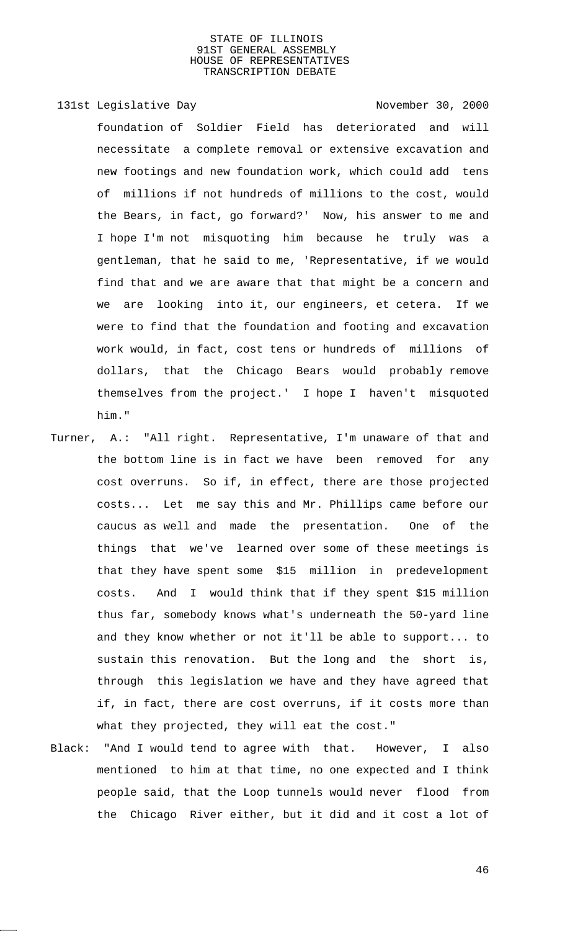# 131st Legislative Day 131st November 30, 2000 foundation of Soldier Field has deteriorated and will necessitate a complete removal or extensive excavation and new footings and new foundation work, which could add tens of millions if not hundreds of millions to the cost, would the Bears, in fact, go forward?' Now, his answer to me and I hope I'm not misquoting him because he truly was a gentleman, that he said to me, 'Representative, if we would find that and we are aware that that might be a concern and we are looking into it, our engineers, et cetera. If we were to find that the foundation and footing and excavation work would, in fact, cost tens or hundreds of millions of dollars, that the Chicago Bears would probably remove themselves from the project.' I hope I haven't misquoted him."

- Turner, A.: "All right. Representative, I'm unaware of that and the bottom line is in fact we have been removed for any cost overruns. So if, in effect, there are those projected costs... Let me say this and Mr. Phillips came before our caucus as well and made the presentation. One of the things that we've learned over some of these meetings is that they have spent some \$15 million in predevelopment costs. And I would think that if they spent \$15 million thus far, somebody knows what's underneath the 50-yard line and they know whether or not it'll be able to support... to sustain this renovation. But the long and the short is, through this legislation we have and they have agreed that if, in fact, there are cost overruns, if it costs more than what they projected, they will eat the cost."
- Black: "And I would tend to agree with that. However, I also mentioned to him at that time, no one expected and I think people said, that the Loop tunnels would never flood from the Chicago River either, but it did and it cost a lot of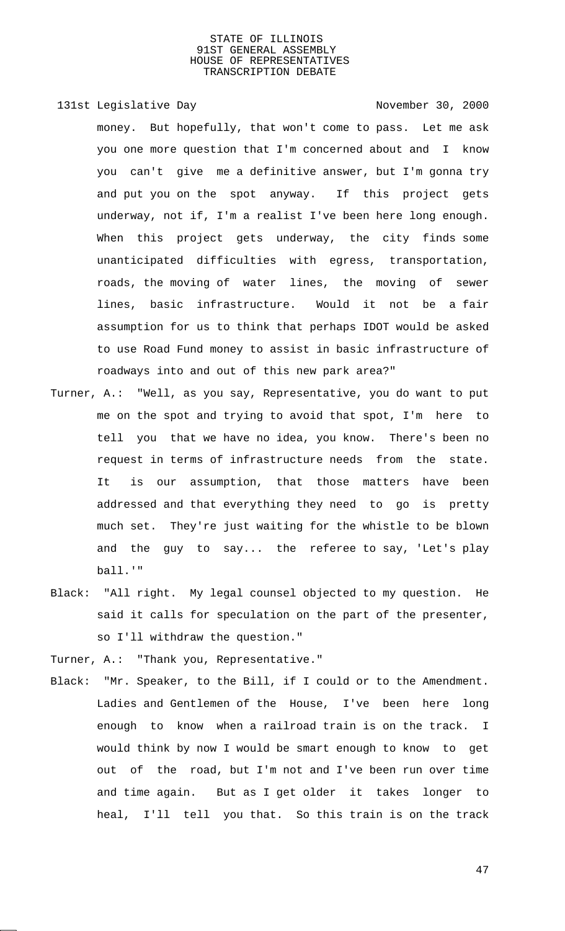- 131st Legislative Day 131st November 30, 2000 money. But hopefully, that won't come to pass. Let me ask you one more question that I'm concerned about and I know you can't give me a definitive answer, but I'm gonna try and put you on the spot anyway. If this project gets underway, not if, I'm a realist I've been here long enough. When this project gets underway, the city finds some unanticipated difficulties with egress, transportation, roads, the moving of water lines, the moving of sewer lines, basic infrastructure. Would it not be a fair assumption for us to think that perhaps IDOT would be asked to use Road Fund money to assist in basic infrastructure of roadways into and out of this new park area?"
- Turner, A.: "Well, as you say, Representative, you do want to put me on the spot and trying to avoid that spot, I'm here to tell you that we have no idea, you know. There's been no request in terms of infrastructure needs from the state. It is our assumption, that those matters have been addressed and that everything they need to go is pretty much set. They're just waiting for the whistle to be blown and the guy to say... the referee to say, 'Let's play ball.'"
- Black: "All right. My legal counsel objected to my question. He said it calls for speculation on the part of the presenter, so I'll withdraw the question."
- Turner, A.: "Thank you, Representative."
- Black: "Mr. Speaker, to the Bill, if I could or to the Amendment. Ladies and Gentlemen of the House, I've been here long enough to know when a railroad train is on the track. I would think by now I would be smart enough to know to get out of the road, but I'm not and I've been run over time and time again. But as I get older it takes longer to heal, I'll tell you that. So this train is on the track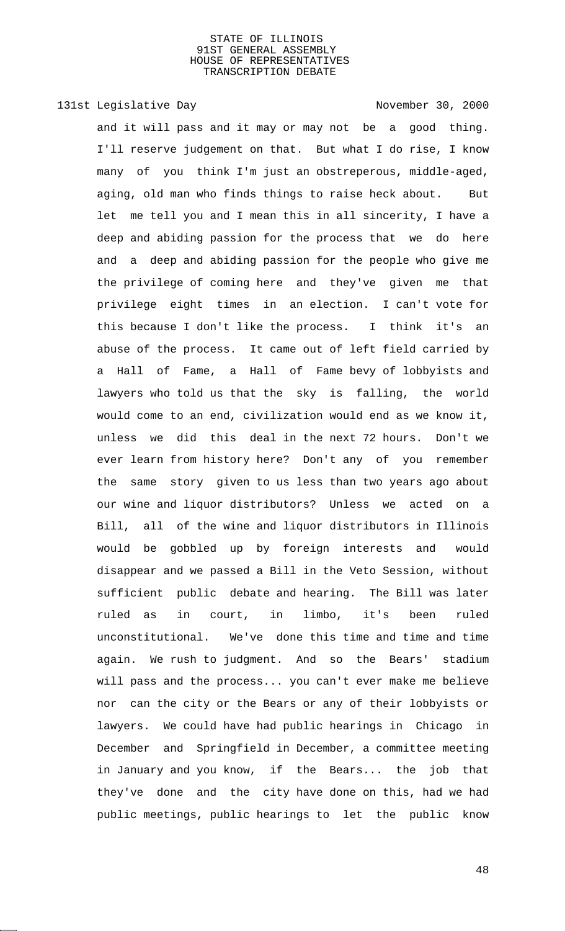# 131st Legislative Day 131st November 30, 2000

and it will pass and it may or may not be a good thing. I'll reserve judgement on that. But what I do rise, I know many of you think I'm just an obstreperous, middle-aged, aging, old man who finds things to raise heck about. But let me tell you and I mean this in all sincerity, I have a deep and abiding passion for the process that we do here and a deep and abiding passion for the people who give me the privilege of coming here and they've given me that privilege eight times in an election. I can't vote for this because I don't like the process. I think it's an abuse of the process. It came out of left field carried by a Hall of Fame, a Hall of Fame bevy of lobbyists and lawyers who told us that the sky is falling, the world would come to an end, civilization would end as we know it, unless we did this deal in the next 72 hours. Don't we ever learn from history here? Don't any of you remember the same story given to us less than two years ago about our wine and liquor distributors? Unless we acted on a Bill, all of the wine and liquor distributors in Illinois would be gobbled up by foreign interests and would disappear and we passed a Bill in the Veto Session, without sufficient public debate and hearing. The Bill was later ruled as in court, in limbo, it's been ruled unconstitutional. We've done this time and time and time again. We rush to judgment. And so the Bears' stadium will pass and the process... you can't ever make me believe nor can the city or the Bears or any of their lobbyists or lawyers. We could have had public hearings in Chicago in December and Springfield in December, a committee meeting in January and you know, if the Bears... the job that they've done and the city have done on this, had we had public meetings, public hearings to let the public know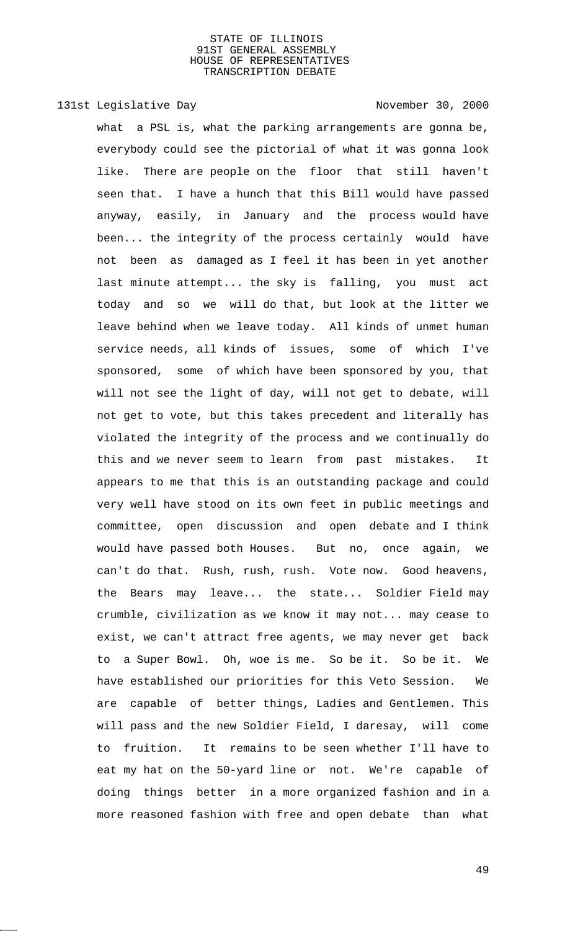# 131st Legislative Day 131st November 30, 2000

what a PSL is, what the parking arrangements are gonna be, everybody could see the pictorial of what it was gonna look like. There are people on the floor that still haven't seen that. I have a hunch that this Bill would have passed anyway, easily, in January and the process would have been... the integrity of the process certainly would have not been as damaged as I feel it has been in yet another last minute attempt... the sky is falling, you must act today and so we will do that, but look at the litter we leave behind when we leave today. All kinds of unmet human service needs, all kinds of issues, some of which I've sponsored, some of which have been sponsored by you, that will not see the light of day, will not get to debate, will not get to vote, but this takes precedent and literally has violated the integrity of the process and we continually do this and we never seem to learn from past mistakes. It appears to me that this is an outstanding package and could very well have stood on its own feet in public meetings and committee, open discussion and open debate and I think would have passed both Houses. But no, once again, we can't do that. Rush, rush, rush. Vote now. Good heavens, the Bears may leave... the state... Soldier Field may crumble, civilization as we know it may not... may cease to exist, we can't attract free agents, we may never get back to a Super Bowl. Oh, woe is me. So be it. So be it. We have established our priorities for this Veto Session. We are capable of better things, Ladies and Gentlemen. This will pass and the new Soldier Field, I daresay, will come to fruition. It remains to be seen whether I'll have to eat my hat on the 50-yard line or not. We're capable of doing things better in a more organized fashion and in a more reasoned fashion with free and open debate than what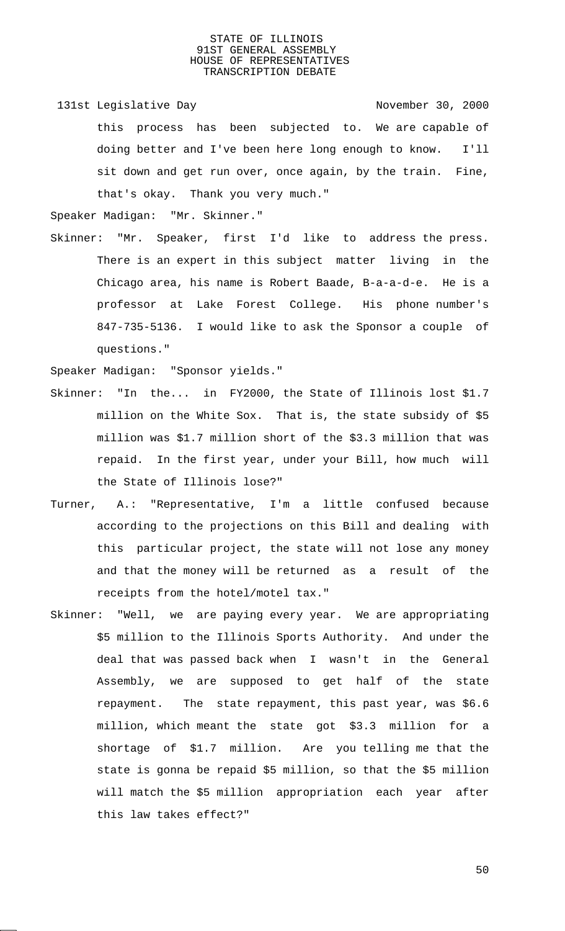131st Legislative Day 131st November 30, 2000 this process has been subjected to. We are capable of doing better and I've been here long enough to know. I'll sit down and get run over, once again, by the train. Fine, that's okay. Thank you very much."

Speaker Madigan: "Mr. Skinner."

Skinner: "Mr. Speaker, first I'd like to address the press. There is an expert in this subject matter living in the Chicago area, his name is Robert Baade, B-a-a-d-e. He is a professor at Lake Forest College. His phone number's 847-735-5136. I would like to ask the Sponsor a couple of questions."

Speaker Madigan: "Sponsor yields."

- Skinner: "In the... in FY2000, the State of Illinois lost \$1.7 million on the White Sox. That is, the state subsidy of \$5 million was \$1.7 million short of the \$3.3 million that was repaid. In the first year, under your Bill, how much will the State of Illinois lose?"
- Turner, A.: "Representative, I'm a little confused because according to the projections on this Bill and dealing with this particular project, the state will not lose any money and that the money will be returned as a result of the receipts from the hotel/motel tax."
- Skinner: "Well, we are paying every year. We are appropriating \$5 million to the Illinois Sports Authority. And under the deal that was passed back when I wasn't in the General Assembly, we are supposed to get half of the state repayment. The state repayment, this past year, was \$6.6 million, which meant the state got \$3.3 million for a shortage of \$1.7 million. Are you telling me that the state is gonna be repaid \$5 million, so that the \$5 million will match the \$5 million appropriation each year after this law takes effect?"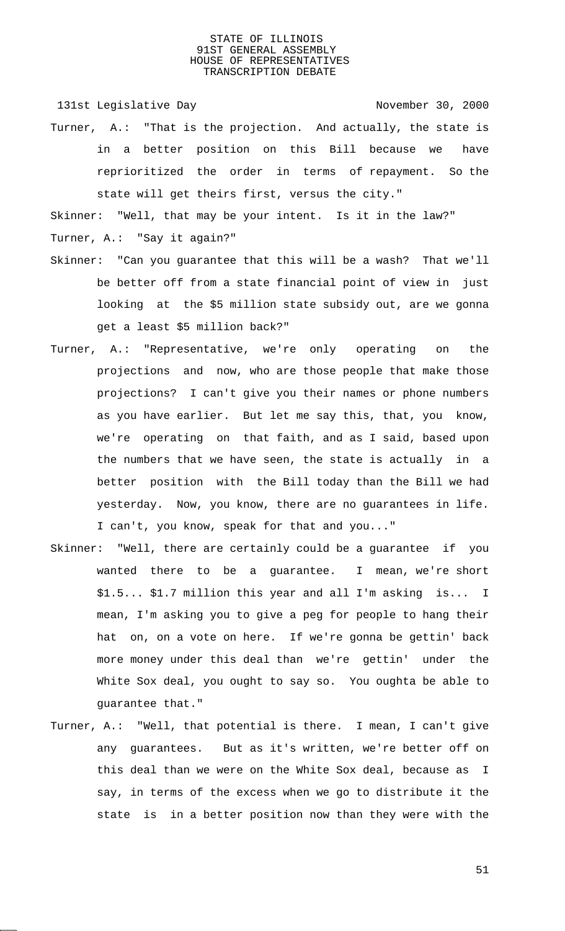131st Legislative Day 131st Company 131st Legislative Day

Turner, A.: "That is the projection. And actually, the state is in a better position on this Bill because we have reprioritized the order in terms of repayment. So the state will get theirs first, versus the city."

Skinner: "Well, that may be your intent. Is it in the law?" Turner, A.: "Say it again?"

- Skinner: "Can you guarantee that this will be a wash? That we'll be better off from a state financial point of view in just looking at the \$5 million state subsidy out, are we gonna get a least \$5 million back?"
- Turner, A.: "Representative, we're only operating on the projections and now, who are those people that make those projections? I can't give you their names or phone numbers as you have earlier. But let me say this, that, you know, we're operating on that faith, and as I said, based upon the numbers that we have seen, the state is actually in a better position with the Bill today than the Bill we had yesterday. Now, you know, there are no guarantees in life. I can't, you know, speak for that and you..."
- Skinner: "Well, there are certainly could be a guarantee if you wanted there to be a guarantee. I mean, we're short \$1.5... \$1.7 million this year and all I'm asking is... I mean, I'm asking you to give a peg for people to hang their hat on, on a vote on here. If we're gonna be gettin' back more money under this deal than we're gettin' under the White Sox deal, you ought to say so. You oughta be able to guarantee that."
- Turner, A.: "Well, that potential is there. I mean, I can't give any guarantees. But as it's written, we're better off on this deal than we were on the White Sox deal, because as I say, in terms of the excess when we go to distribute it the state is in a better position now than they were with the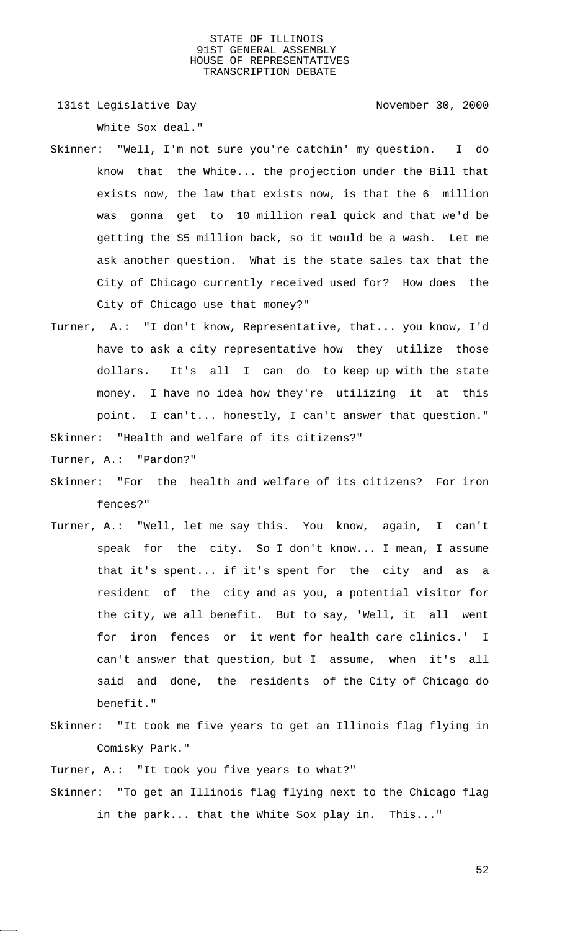131st Legislative Day 131st Company 131st Legislative Day

White Sox deal."

- Skinner: "Well, I'm not sure you're catchin' my question. I do know that the White... the projection under the Bill that exists now, the law that exists now, is that the 6 million was gonna get to 10 million real quick and that we'd be getting the \$5 million back, so it would be a wash. Let me ask another question. What is the state sales tax that the City of Chicago currently received used for? How does the City of Chicago use that money?"
- Turner, A.: "I don't know, Representative, that... you know, I'd have to ask a city representative how they utilize those dollars. It's all I can do to keep up with the state money. I have no idea how they're utilizing it at this point. I can't... honestly, I can't answer that question."

Skinner: "Health and welfare of its citizens?"

Turner, A.: "Pardon?"

- Skinner: "For the health and welfare of its citizens? For iron fences?"
- Turner, A.: "Well, let me say this. You know, again, I can't speak for the city. So I don't know... I mean, I assume that it's spent... if it's spent for the city and as a resident of the city and as you, a potential visitor for the city, we all benefit. But to say, 'Well, it all went for iron fences or it went for health care clinics.' I can't answer that question, but I assume, when it's all said and done, the residents of the City of Chicago do benefit."
- Skinner: "It took me five years to get an Illinois flag flying in Comisky Park."

Turner, A.: "It took you five years to what?"

Skinner: "To get an Illinois flag flying next to the Chicago flag in the park... that the White Sox play in. This..."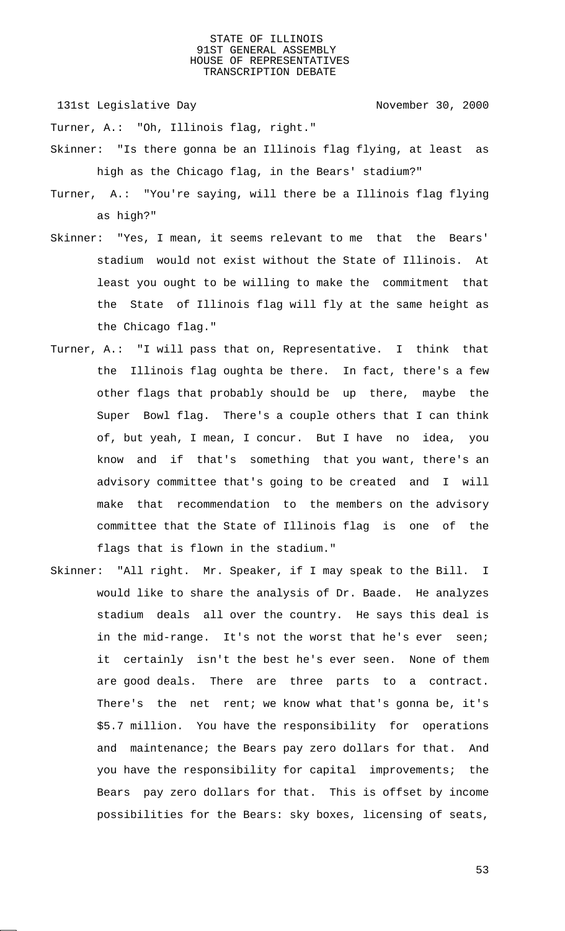131st Legislative Day 131st Company 131st Legislative Day

Turner, A.: "Oh, Illinois flag, right."

- Skinner: "Is there gonna be an Illinois flag flying, at least as high as the Chicago flag, in the Bears' stadium?"
- Turner, A.: "You're saying, will there be a Illinois flag flying as high?"
- Skinner: "Yes, I mean, it seems relevant to me that the Bears' stadium would not exist without the State of Illinois. At least you ought to be willing to make the commitment that the State of Illinois flag will fly at the same height as the Chicago flag."
- Turner, A.: "I will pass that on, Representative. I think that the Illinois flag oughta be there. In fact, there's a few other flags that probably should be up there, maybe the Super Bowl flag. There's a couple others that I can think of, but yeah, I mean, I concur. But I have no idea, you know and if that's something that you want, there's an advisory committee that's going to be created and I will make that recommendation to the members on the advisory committee that the State of Illinois flag is one of the flags that is flown in the stadium."
- Skinner: "All right. Mr. Speaker, if I may speak to the Bill. I would like to share the analysis of Dr. Baade. He analyzes stadium deals all over the country. He says this deal is in the mid-range. It's not the worst that he's ever seen; it certainly isn't the best he's ever seen. None of them are good deals. There are three parts to a contract. There's the net rent; we know what that's gonna be, it's \$5.7 million. You have the responsibility for operations and maintenance; the Bears pay zero dollars for that. And you have the responsibility for capital improvements; the Bears pay zero dollars for that. This is offset by income possibilities for the Bears: sky boxes, licensing of seats,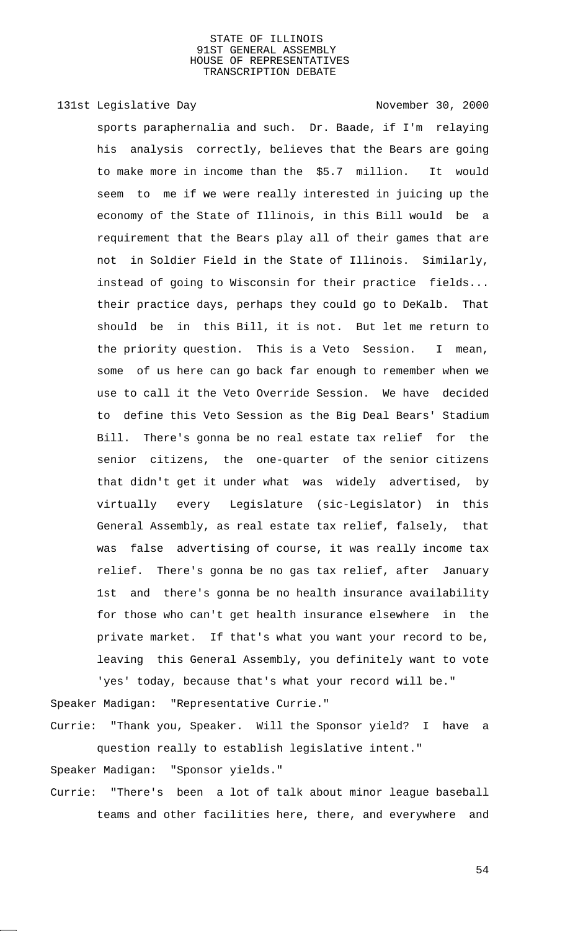# 131st Legislative Day 131st November 30, 2000

sports paraphernalia and such. Dr. Baade, if I'm relaying his analysis correctly, believes that the Bears are going to make more in income than the \$5.7 million. It would seem to me if we were really interested in juicing up the economy of the State of Illinois, in this Bill would be a requirement that the Bears play all of their games that are not in Soldier Field in the State of Illinois. Similarly, instead of going to Wisconsin for their practice fields... their practice days, perhaps they could go to DeKalb. That should be in this Bill, it is not. But let me return to the priority question. This is a Veto Session. I mean, some of us here can go back far enough to remember when we use to call it the Veto Override Session. We have decided to define this Veto Session as the Big Deal Bears' Stadium Bill. There's gonna be no real estate tax relief for the senior citizens, the one-quarter of the senior citizens that didn't get it under what was widely advertised, by virtually every Legislature (sic-Legislator) in this General Assembly, as real estate tax relief, falsely, that was false advertising of course, it was really income tax relief. There's gonna be no gas tax relief, after January 1st and there's gonna be no health insurance availability for those who can't get health insurance elsewhere in the private market. If that's what you want your record to be, leaving this General Assembly, you definitely want to vote 'yes' today, because that's what your record will be."

Speaker Madigan: "Representative Currie."

Currie: "Thank you, Speaker. Will the Sponsor yield? I have a question really to establish legislative intent."

Speaker Madigan: "Sponsor yields."

Currie: "There's been a lot of talk about minor league baseball teams and other facilities here, there, and everywhere and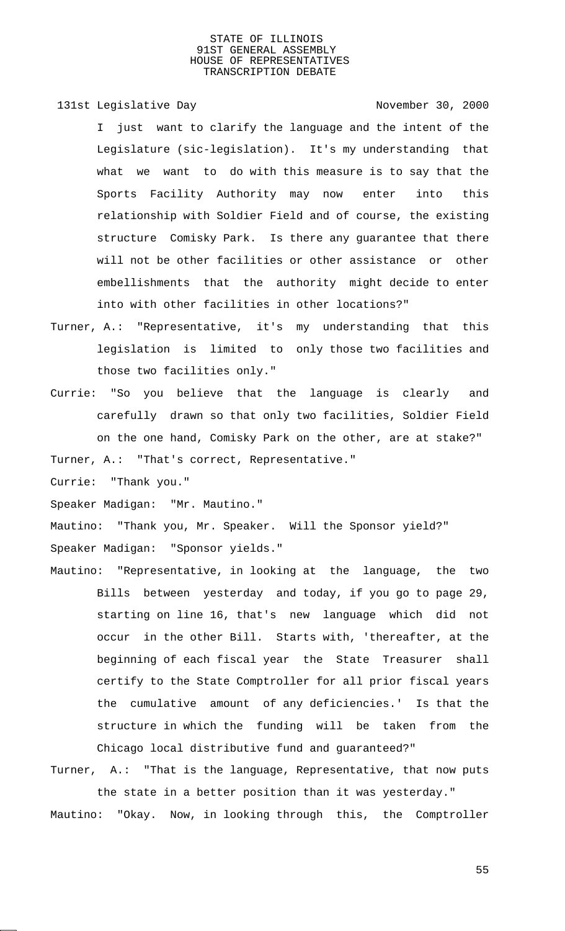131st Legislative Day 131st November 30, 2000

I just want to clarify the language and the intent of the Legislature (sic-legislation). It's my understanding that what we want to do with this measure is to say that the Sports Facility Authority may now enter into this relationship with Soldier Field and of course, the existing structure Comisky Park. Is there any guarantee that there will not be other facilities or other assistance or other embellishments that the authority might decide to enter into with other facilities in other locations?"

- Turner, A.: "Representative, it's my understanding that this legislation is limited to only those two facilities and those two facilities only."
- Currie: "So you believe that the language is clearly and carefully drawn so that only two facilities, Soldier Field on the one hand, Comisky Park on the other, are at stake?"

Turner, A.: "That's correct, Representative."

Currie: "Thank you."

Speaker Madigan: "Mr. Mautino."

Mautino: "Thank you, Mr. Speaker. Will the Sponsor yield?" Speaker Madigan: "Sponsor yields."

Mautino: "Representative, in looking at the language, the two Bills between yesterday and today, if you go to page 29, starting on line 16, that's new language which did not occur in the other Bill. Starts with, 'thereafter, at the beginning of each fiscal year the State Treasurer shall certify to the State Comptroller for all prior fiscal years the cumulative amount of any deficiencies.' Is that the structure in which the funding will be taken from the Chicago local distributive fund and guaranteed?"

Turner, A.: "That is the language, Representative, that now puts the state in a better position than it was yesterday." Mautino: "Okay. Now, in looking through this, the Comptroller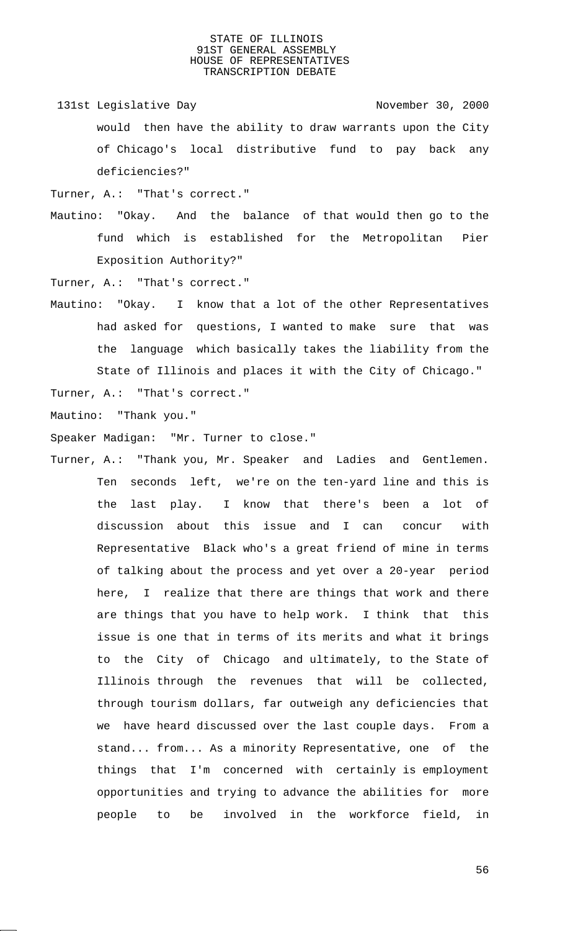- 131st Legislative Day 131st November 30, 2000 would then have the ability to draw warrants upon the City of Chicago's local distributive fund to pay back any deficiencies?"
- Turner, A.: "That's correct."
- Mautino: "Okay. And the balance of that would then go to the fund which is established for the Metropolitan Pier Exposition Authority?"
- Turner, A.: "That's correct."
- Mautino: "Okay. I know that a lot of the other Representatives had asked for questions, I wanted to make sure that was the language which basically takes the liability from the State of Illinois and places it with the City of Chicago."
- Turner, A.: "That's correct."
- Mautino: "Thank you."

Speaker Madigan: "Mr. Turner to close."

Turner, A.: "Thank you, Mr. Speaker and Ladies and Gentlemen. Ten seconds left, we're on the ten-yard line and this is the last play. I know that there's been a lot of discussion about this issue and I can concur with Representative Black who's a great friend of mine in terms of talking about the process and yet over a 20-year period here, I realize that there are things that work and there are things that you have to help work. I think that this issue is one that in terms of its merits and what it brings to the City of Chicago and ultimately, to the State of Illinois through the revenues that will be collected, through tourism dollars, far outweigh any deficiencies that we have heard discussed over the last couple days. From a stand... from... As a minority Representative, one of the things that I'm concerned with certainly is employment opportunities and trying to advance the abilities for more people to be involved in the workforce field, in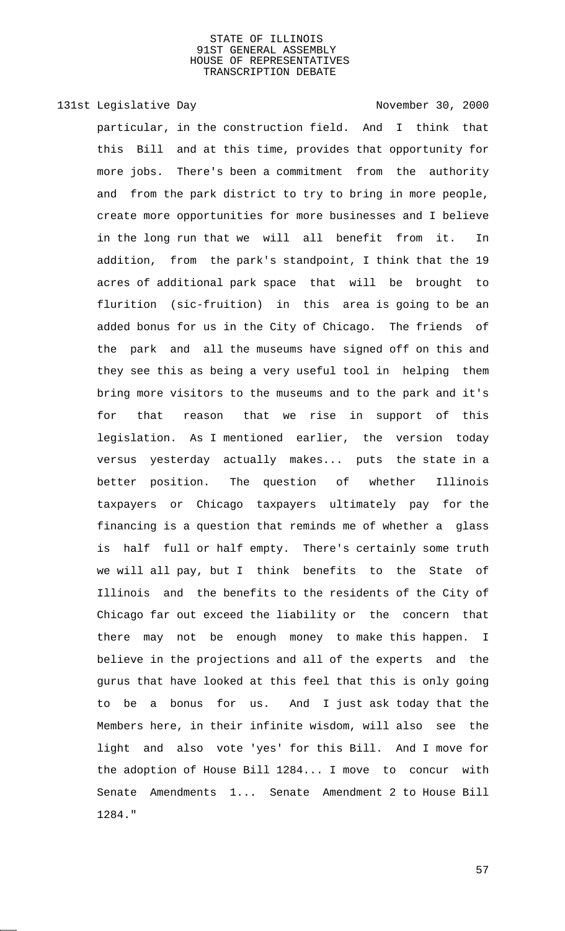131st Legislative Day 131st November 30, 2000

particular, in the construction field. And I think that this Bill and at this time, provides that opportunity for more jobs. There's been a commitment from the authority and from the park district to try to bring in more people, create more opportunities for more businesses and I believe in the long run that we will all benefit from it. In addition, from the park's standpoint, I think that the 19 acres of additional park space that will be brought to flurition (sic-fruition) in this area is going to be an added bonus for us in the City of Chicago. The friends of the park and all the museums have signed off on this and they see this as being a very useful tool in helping them bring more visitors to the museums and to the park and it's for that reason that we rise in support of this legislation. As I mentioned earlier, the version today versus yesterday actually makes... puts the state in a better position. The question of whether Illinois taxpayers or Chicago taxpayers ultimately pay for the financing is a question that reminds me of whether a glass is half full or half empty. There's certainly some truth we will all pay, but I think benefits to the State of Illinois and the benefits to the residents of the City of Chicago far out exceed the liability or the concern that there may not be enough money to make this happen. I believe in the projections and all of the experts and the gurus that have looked at this feel that this is only going to be a bonus for us. And I just ask today that the Members here, in their infinite wisdom, will also see the light and also vote 'yes' for this Bill. And I move for the adoption of House Bill 1284... I move to concur with Senate Amendments 1... Senate Amendment 2 to House Bill 1284."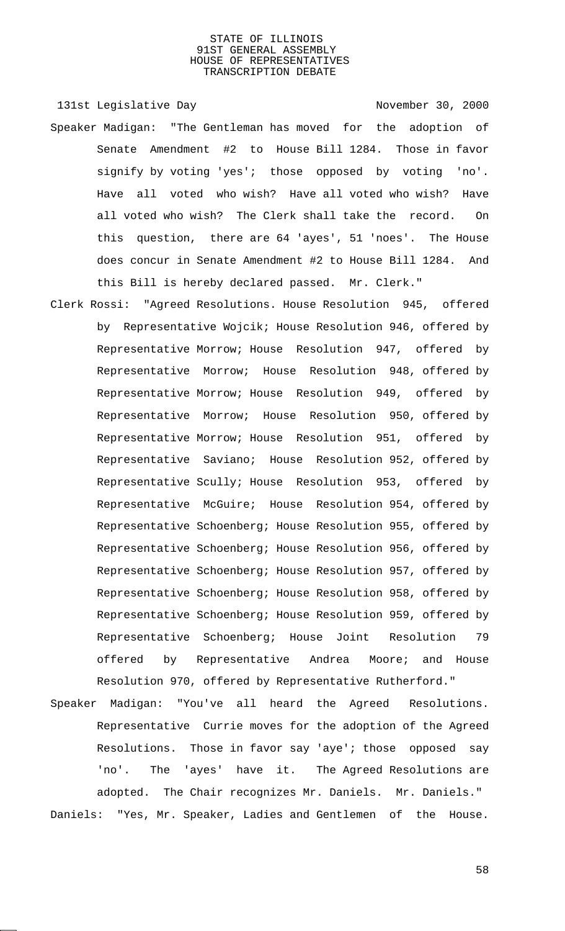131st Legislative Day 131st November 30, 2000

- Speaker Madigan: "The Gentleman has moved for the adoption of Senate Amendment #2 to House Bill 1284. Those in favor signify by voting 'yes'; those opposed by voting 'no'. Have all voted who wish? Have all voted who wish? Have all voted who wish? The Clerk shall take the record. On this question, there are 64 'ayes', 51 'noes'. The House does concur in Senate Amendment #2 to House Bill 1284. And this Bill is hereby declared passed. Mr. Clerk."
- Clerk Rossi: "Agreed Resolutions. House Resolution 945, offered by Representative Wojcik; House Resolution 946, offered by Representative Morrow; House Resolution 947, offered by Representative Morrow; House Resolution 948, offered by Representative Morrow; House Resolution 949, offered by Representative Morrow; House Resolution 950, offered by Representative Morrow; House Resolution 951, offered by Representative Saviano; House Resolution 952, offered by Representative Scully; House Resolution 953, offered by Representative McGuire; House Resolution 954, offered by Representative Schoenberg; House Resolution 955, offered by Representative Schoenberg; House Resolution 956, offered by Representative Schoenberg; House Resolution 957, offered by Representative Schoenberg; House Resolution 958, offered by Representative Schoenberg; House Resolution 959, offered by Representative Schoenberg; House Joint Resolution 79 offered by Representative Andrea Moore; and House Resolution 970, offered by Representative Rutherford."
- Speaker Madigan: "You've all heard the Agreed Resolutions. Representative Currie moves for the adoption of the Agreed Resolutions. Those in favor say 'aye'; those opposed say 'no'. The 'ayes' have it. The Agreed Resolutions are adopted. The Chair recognizes Mr. Daniels. Mr. Daniels." Daniels: "Yes, Mr. Speaker, Ladies and Gentlemen of the House.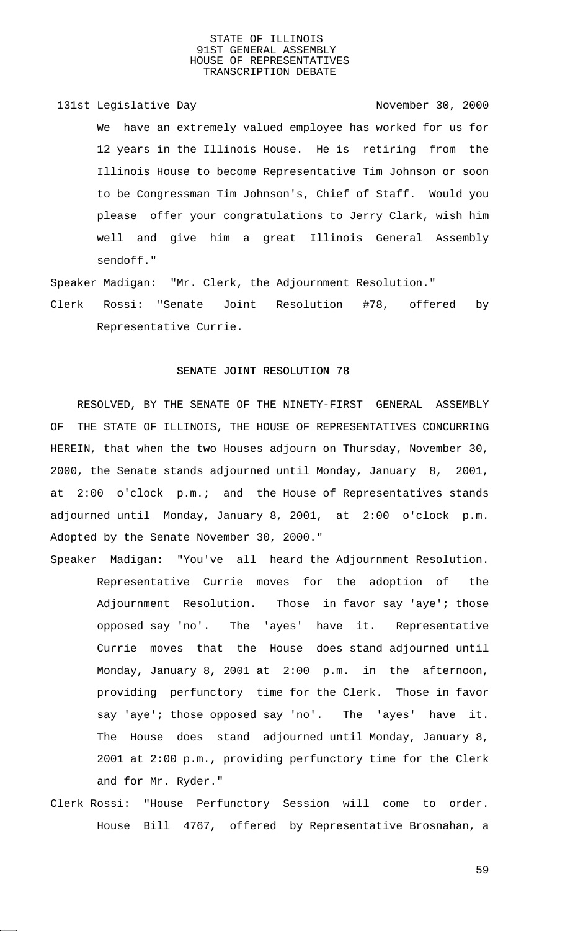131st Legislative Day 131st Company 131st Legislative Day We have an extremely valued employee has worked for us for 12 years in the Illinois House. He is retiring from the Illinois House to become Representative Tim Johnson or soon to be Congressman Tim Johnson's, Chief of Staff. Would you please offer your congratulations to Jerry Clark, wish him well and give him a great Illinois General Assembly sendoff."

Speaker Madigan: "Mr. Clerk, the Adjournment Resolution."

Clerk Rossi: "Senate Joint Resolution #78, offered by Representative Currie.

# SENATE JOINT RESOLUTION 78

RESOLVED, BY THE SENATE OF THE NINETY-FIRST GENERAL ASSEMBLY OF THE STATE OF ILLINOIS, THE HOUSE OF REPRESENTATIVES CONCURRING HEREIN, that when the two Houses adjourn on Thursday, November 30, 2000, the Senate stands adjourned until Monday, January 8, 2001, at 2:00 o'clock p.m.; and the House of Representatives stands adjourned until Monday, January 8, 2001, at 2:00 o'clock p.m. Adopted by the Senate November 30, 2000."

Speaker Madigan: "You've all heard the Adjournment Resolution. Representative Currie moves for the adoption of the Adjournment Resolution. Those in favor say 'aye'; those opposed say 'no'. The 'ayes' have it. Representative Currie moves that the House does stand adjourned until Monday, January 8, 2001 at 2:00 p.m. in the afternoon, providing perfunctory time for the Clerk. Those in favor say 'aye'; those opposed say 'no'. The 'ayes' have it. The House does stand adjourned until Monday, January 8, 2001 at 2:00 p.m., providing perfunctory time for the Clerk and for Mr. Ryder."

Clerk Rossi: "House Perfunctory Session will come to order. House Bill 4767, offered by Representative Brosnahan, a